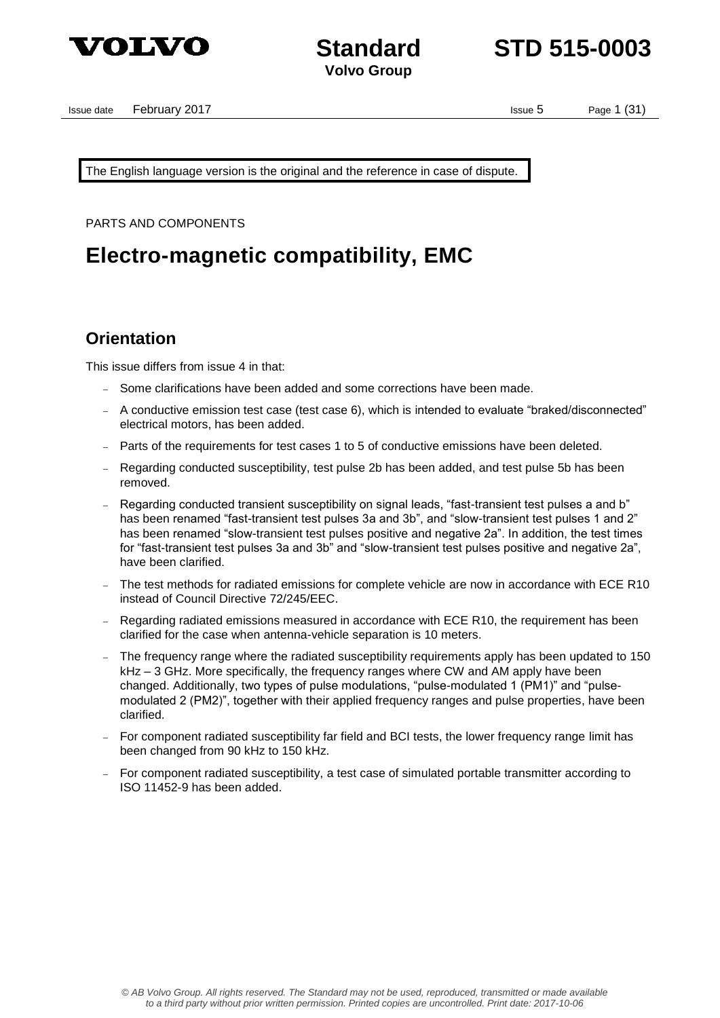

**Standard STD 515-0003**

Issue date February 2017 **Issue date** February 2017

The English language version is the original and the reference in case of dispute.

PARTS AND COMPONENTS

## **Electro-magnetic compatibility, EMC**

### **Orientation**

This issue differs from issue 4 in that:

- Some clarifications have been added and some corrections have been made.
- A conductive emission test case (test case 6), which is intended to evaluate "braked/disconnected" electrical motors, has been added.
- Parts of the requirements for test cases 1 to 5 of conductive emissions have been deleted.
- Regarding conducted susceptibility, test pulse 2b has been added, and test pulse 5b has been removed.
- Regarding conducted transient susceptibility on signal leads, "fast-transient test pulses a and b" has been renamed "fast-transient test pulses 3a and 3b", and "slow-transient test pulses 1 and 2" has been renamed "slow-transient test pulses positive and negative 2a". In addition, the test times for "fast-transient test pulses 3a and 3b" and "slow-transient test pulses positive and negative 2a", have been clarified.
- The test methods for radiated emissions for complete vehicle are now in accordance with ECE R10 instead of Council Directive 72/245/EEC.
- Regarding radiated emissions measured in accordance with ECE R10, the requirement has been clarified for the case when antenna-vehicle separation is 10 meters.
- The frequency range where the radiated susceptibility requirements apply has been updated to 150 kHz – 3 GHz. More specifically, the frequency ranges where CW and AM apply have been changed. Additionally, two types of pulse modulations, "pulse-modulated 1 (PM1)" and "pulsemodulated 2 (PM2)", together with their applied frequency ranges and pulse properties, have been clarified.
- For component radiated susceptibility far field and BCI tests, the lower frequency range limit has been changed from 90 kHz to 150 kHz.
- For component radiated susceptibility, a test case of simulated portable transmitter according to ISO 11452-9 has been added.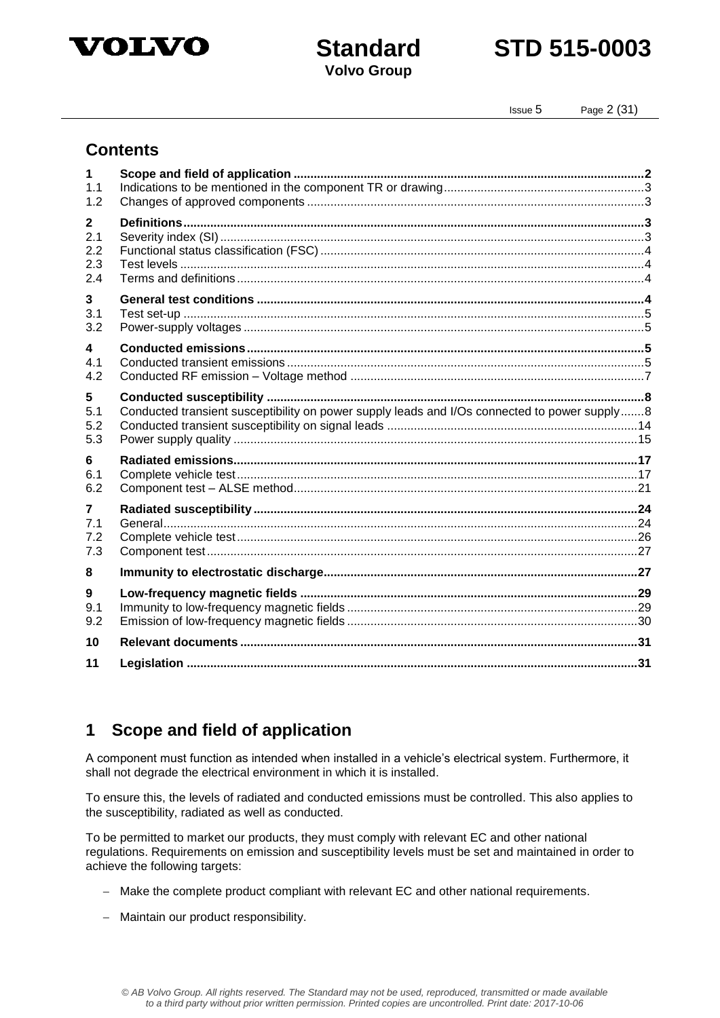

## **Standard STD 515-0003**

Issue 5 Page 2 (31)

### **Contents**

| 1<br>1.1     |                                                                                              |  |
|--------------|----------------------------------------------------------------------------------------------|--|
| 1.2          |                                                                                              |  |
| $\mathbf{2}$ |                                                                                              |  |
| 2.1          |                                                                                              |  |
| 2.2          |                                                                                              |  |
| 2.3<br>2.4   |                                                                                              |  |
|              |                                                                                              |  |
| 3            |                                                                                              |  |
| 3.1<br>3.2   |                                                                                              |  |
|              |                                                                                              |  |
| 4<br>4.1     |                                                                                              |  |
| 4.2          |                                                                                              |  |
|              |                                                                                              |  |
| 5<br>5.1     | Conducted transient susceptibility on power supply leads and I/Os connected to power supply8 |  |
| 5.2          |                                                                                              |  |
| 5.3          |                                                                                              |  |
| 6            |                                                                                              |  |
| 6.1          |                                                                                              |  |
| 6.2          |                                                                                              |  |
| 7            |                                                                                              |  |
| 7.1          |                                                                                              |  |
| 7.2          |                                                                                              |  |
| 7.3          |                                                                                              |  |
| 8            |                                                                                              |  |
| 9            |                                                                                              |  |
| 9.1          |                                                                                              |  |
| 9.2          |                                                                                              |  |
| 10           |                                                                                              |  |
| 11           |                                                                                              |  |

## **1 Scope and field of application**

A component must function as intended when installed in a vehicle's electrical system. Furthermore, it shall not degrade the electrical environment in which it is installed.

To ensure this, the levels of radiated and conducted emissions must be controlled. This also applies to the susceptibility, radiated as well as conducted.

To be permitted to market our products, they must comply with relevant EC and other national regulations. Requirements on emission and susceptibility levels must be set and maintained in order to achieve the following targets:

- Make the complete product compliant with relevant EC and other national requirements.
- Maintain our product responsibility.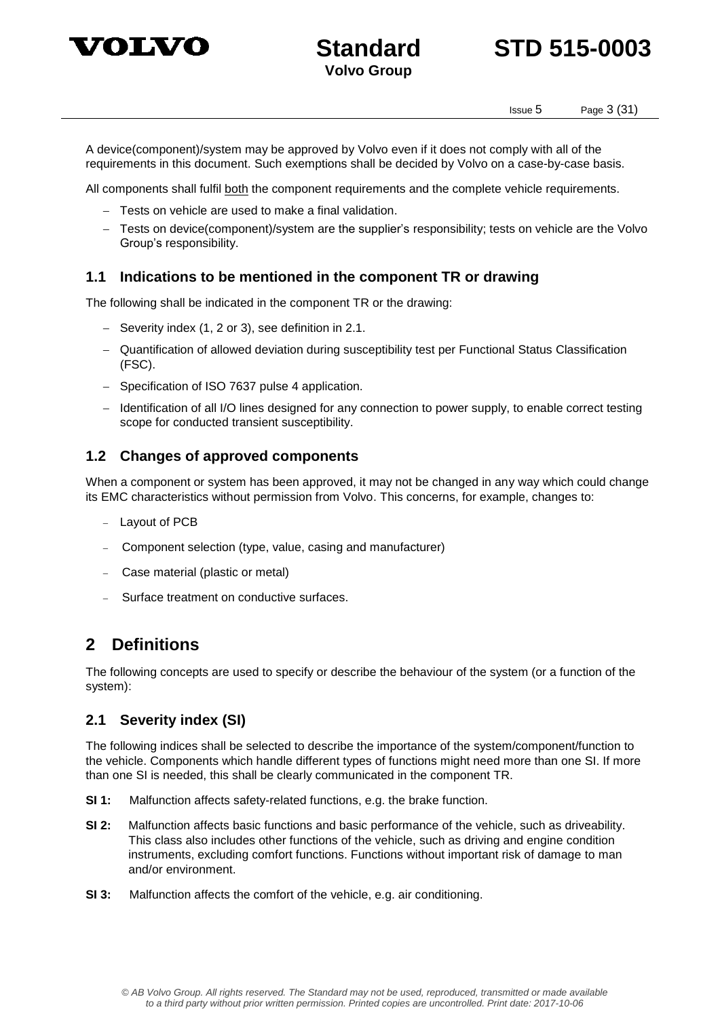



Issue 5 Page 3 (31)

A device(component)/system may be approved by Volvo even if it does not comply with all of the requirements in this document. Such exemptions shall be decided by Volvo on a case-by-case basis.

All components shall fulfil both the component requirements and the complete vehicle requirements.

- Tests on vehicle are used to make a final validation.
- Tests on device(component)/system are the supplier's responsibility; tests on vehicle are the Volvo Group's responsibility.

#### **1.1 Indications to be mentioned in the component TR or drawing**

The following shall be indicated in the component TR or the drawing:

- $-$  Severity index (1, 2 or 3), see definition in 2.1.
- Quantification of allowed deviation during susceptibility test per Functional Status Classification (FSC).
- Specification of ISO 7637 pulse 4 application.
- Identification of all I/O lines designed for any connection to power supply, to enable correct testing scope for conducted transient susceptibility.

#### **1.2 Changes of approved components**

When a component or system has been approved, it may not be changed in any way which could change its EMC characteristics without permission from Volvo. This concerns, for example, changes to:

- Layout of PCB
- Component selection (type, value, casing and manufacturer)
- Case material (plastic or metal)
- Surface treatment on conductive surfaces.

### **2 Definitions**

The following concepts are used to specify or describe the behaviour of the system (or a function of the system):

#### **2.1 Severity index (SI)**

The following indices shall be selected to describe the importance of the system/component/function to the vehicle. Components which handle different types of functions might need more than one SI. If more than one SI is needed, this shall be clearly communicated in the component TR.

- **SI 1:** Malfunction affects safety-related functions, e.g. the brake function.
- **SI 2:** Malfunction affects basic functions and basic performance of the vehicle, such as driveability. This class also includes other functions of the vehicle, such as driving and engine condition instruments, excluding comfort functions. Functions without important risk of damage to man and/or environment.
- **SI 3:** Malfunction affects the comfort of the vehicle, e.g. air conditioning.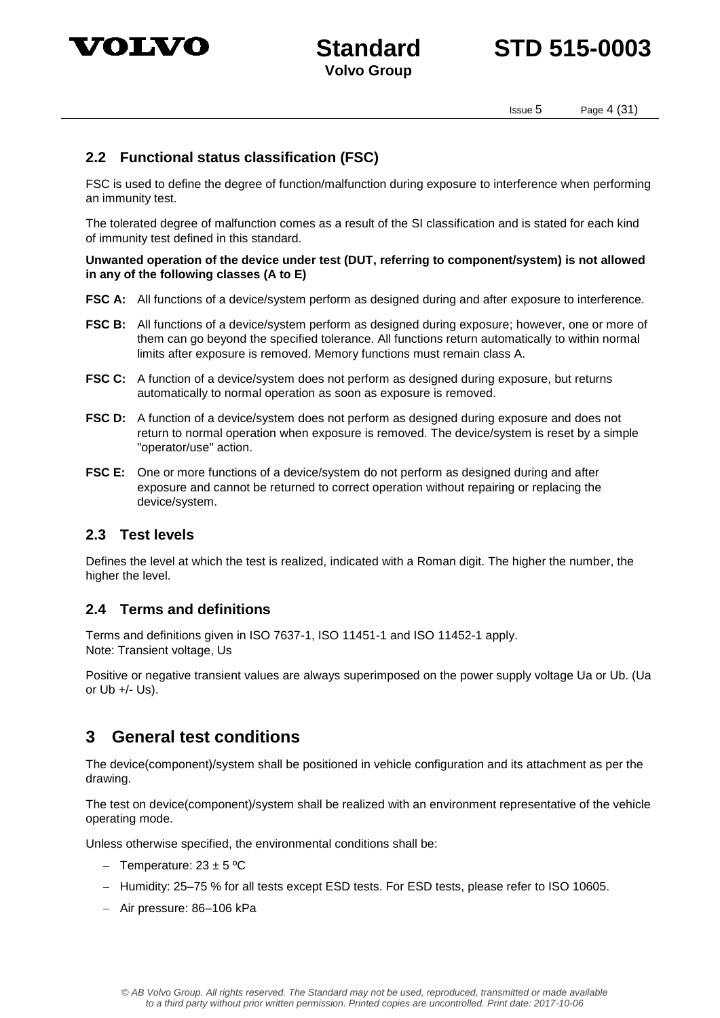

## **Standard STD 515-0003**

Issue 5 Page 4 (31)

### **2.2 Functional status classification (FSC)**

FSC is used to define the degree of function/malfunction during exposure to interference when performing an immunity test.

The tolerated degree of malfunction comes as a result of the SI classification and is stated for each kind of immunity test defined in this standard.

**Unwanted operation of the device under test (DUT, referring to component/system) is not allowed in any of the following classes (A to E)**

- **FSC A:** All functions of a device/system perform as designed during and after exposure to interference.
- **FSC B:** All functions of a device/system perform as designed during exposure; however, one or more of them can go beyond the specified tolerance. All functions return automatically to within normal limits after exposure is removed. Memory functions must remain class A.
- **FSC C:** A function of a device/system does not perform as designed during exposure, but returns automatically to normal operation as soon as exposure is removed.
- **FSC D:** A function of a device/system does not perform as designed during exposure and does not return to normal operation when exposure is removed. The device/system is reset by a simple "operator/use" action.
- FSC E: One or more functions of a device/system do not perform as designed during and after exposure and cannot be returned to correct operation without repairing or replacing the device/system.

#### **2.3 Test levels**

Defines the level at which the test is realized, indicated with a Roman digit. The higher the number, the higher the level.

#### **2.4 Terms and definitions**

Terms and definitions given in ISO 7637-1, ISO 11451-1 and ISO 11452-1 apply. Note: Transient voltage, Us

Positive or negative transient values are always superimposed on the power supply voltage Ua or Ub. (Ua or  $Ub +/- Us$ ).

### **3 General test conditions**

The device(component)/system shall be positioned in vehicle configuration and its attachment as per the drawing.

The test on device(component)/system shall be realized with an environment representative of the vehicle operating mode.

Unless otherwise specified, the environmental conditions shall be:

- Temperature:  $23 \pm 5$  °C
- Humidity: 25–75 % for all tests except ESD tests. For ESD tests, please refer to ISO 10605.
- Air pressure: 86-106 kPa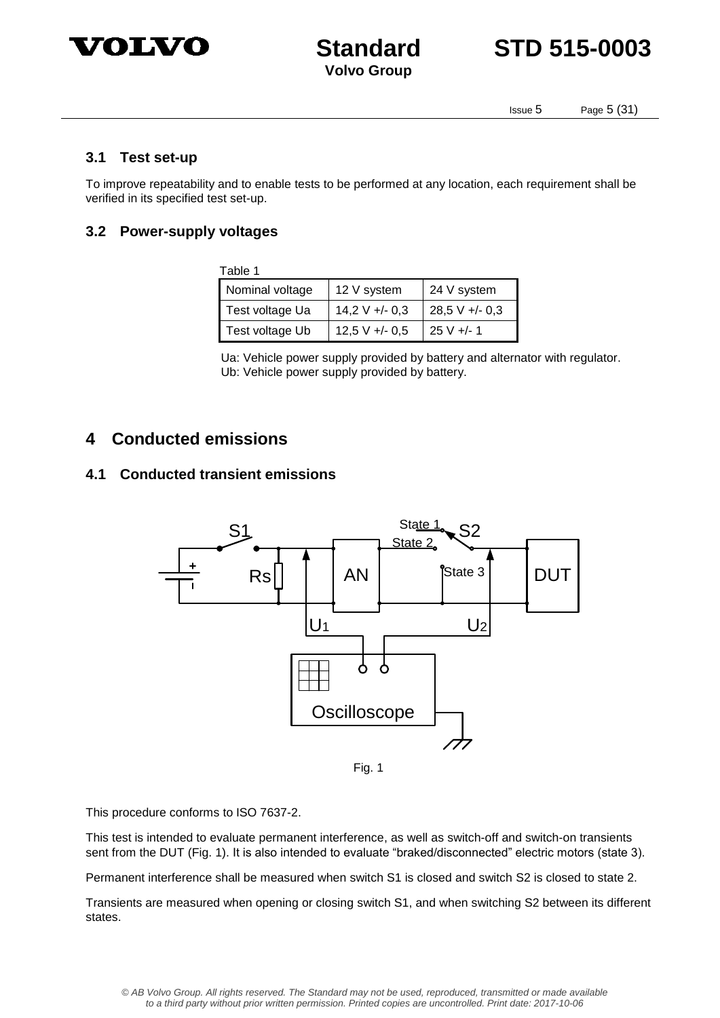



Issue 5 Page 5 (31)

#### **3.1 Test set-up**

To improve repeatability and to enable tests to be performed at any location, each requirement shall be verified in its specified test set-up.

#### **3.2 Power-supply voltages**

| Table 1         |                          |                |  |  |  |
|-----------------|--------------------------|----------------|--|--|--|
| Nominal voltage | 12 V system              | 24 V system    |  |  |  |
| Test voltage Ua | $14,2 \text{ V} +/- 0,3$ | $28,5 V + 0.3$ |  |  |  |
| Test voltage Ub | $12,5$ V +/- 0,5         | $25 V +/- 1$   |  |  |  |

 Ua: Vehicle power supply provided by battery and alternator with regulator. Ub: Vehicle power supply provided by battery.

### **4 Conducted emissions**

#### **4.1 Conducted transient emissions**



Fig. 1

This procedure conforms to ISO 7637-2.

This test is intended to evaluate permanent interference, as well as switch-off and switch-on transients sent from the DUT (Fig. 1). It is also intended to evaluate "braked/disconnected" electric motors (state 3).

Permanent interference shall be measured when switch S1 is closed and switch S2 is closed to state 2.

Transients are measured when opening or closing switch S1, and when switching S2 between its different states.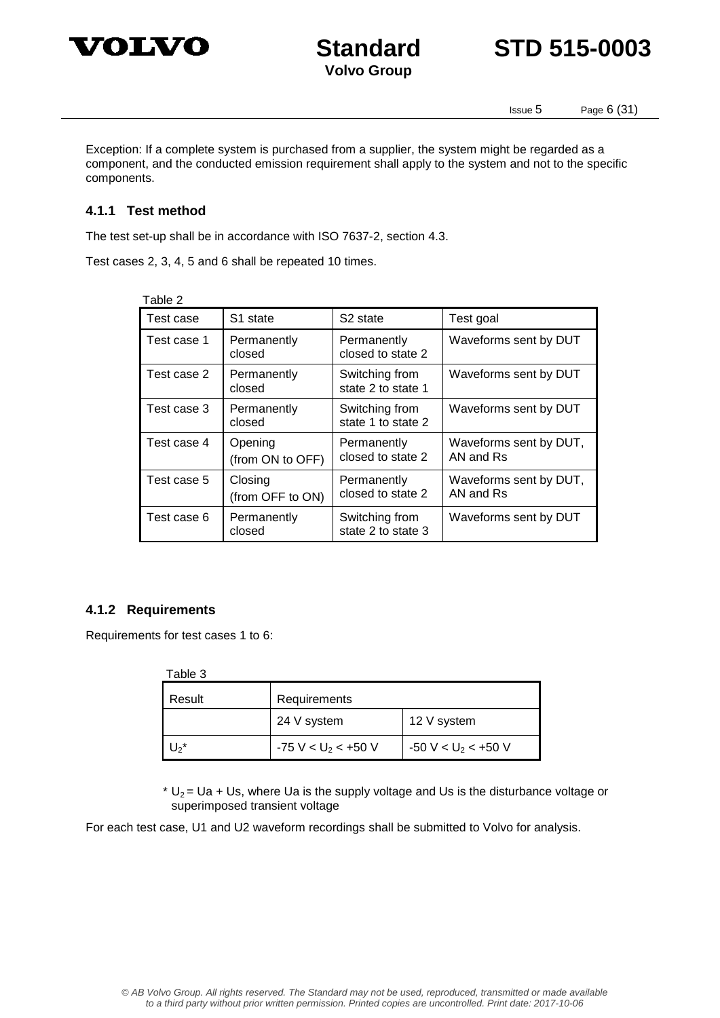



Issue 5 Page 6 (31)

Exception: If a complete system is purchased from a supplier, the system might be regarded as a component, and the conducted emission requirement shall apply to the system and not to the specific components.

#### **4.1.1 Test method**

The test set-up shall be in accordance with ISO 7637-2, section 4.3.

Test cases 2, 3, 4, 5 and 6 shall be repeated 10 times.

| able: |  |
|-------|--|
|-------|--|

| Test case   | S1 state                    | S <sub>2</sub> state                 | Test goal                           |  |  |
|-------------|-----------------------------|--------------------------------------|-------------------------------------|--|--|
| Test case 1 | Permanently<br>closed       | Permanently<br>closed to state 2     | Waveforms sent by DUT               |  |  |
| Test case 2 | Permanently<br>closed       | Switching from<br>state 2 to state 1 | Waveforms sent by DUT               |  |  |
| Test case 3 | Permanently<br>closed       | Switching from<br>state 1 to state 2 | Waveforms sent by DUT               |  |  |
| Test case 4 | Opening<br>(from ON to OFF) | Permanently<br>closed to state 2     | Waveforms sent by DUT,<br>AN and Rs |  |  |
| Test case 5 | Closing<br>(from OFF to ON) | Permanently<br>closed to state 2     | Waveforms sent by DUT,<br>AN and Rs |  |  |
| Test case 6 | Permanently<br>closed       | Switching from<br>state 2 to state 3 | Waveforms sent by DUT               |  |  |

#### **4.1.2 Requirements**

Requirements for test cases 1 to 6:

| Table 3 |                                    |                       |
|---------|------------------------------------|-----------------------|
| Result  | Requirements                       |                       |
|         | 24 V system                        | 12 V system           |
| $U_2^*$ | $-75$ V < U <sub>2</sub> < $+50$ V | $-50 V < U_2 < +50 V$ |

 $* U_2 = Ua + Us$ , where Ua is the supply voltage and Us is the disturbance voltage or superimposed transient voltage

For each test case, U1 and U2 waveform recordings shall be submitted to Volvo for analysis.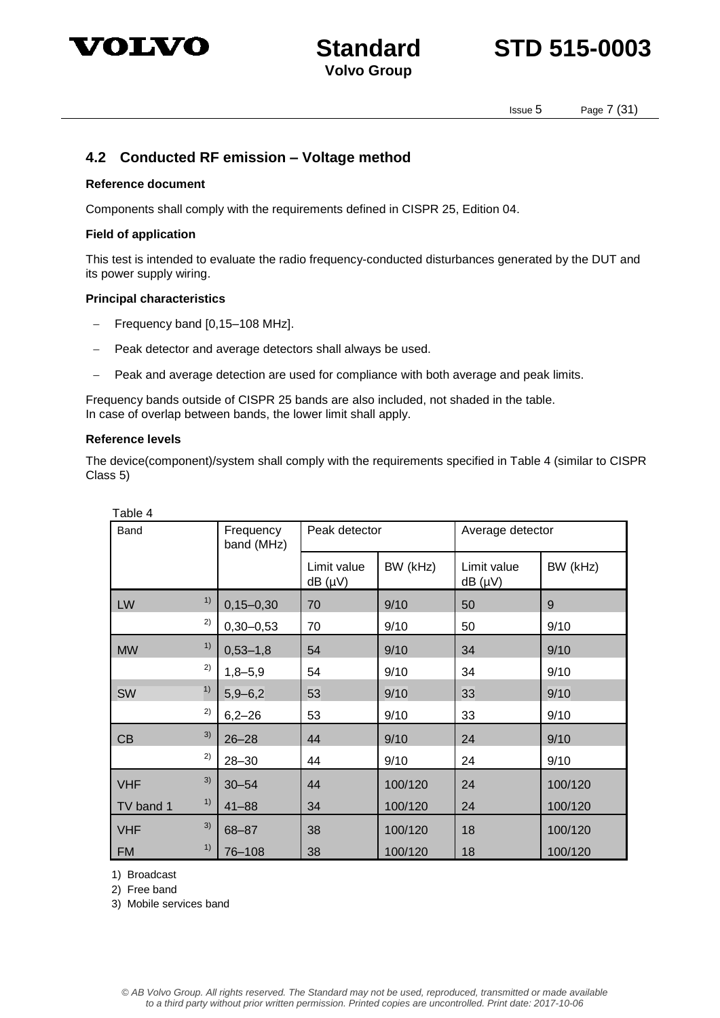



Issue 5 Page 7 (31)

#### **4.2 Conducted RF emission – Voltage method**

#### **Reference document**

Components shall comply with the requirements defined in CISPR 25, Edition 04.

#### **Field of application**

This test is intended to evaluate the radio frequency-conducted disturbances generated by the DUT and its power supply wiring.

#### **Principal characteristics**

- Frequency band [0,15–108 MHz].
- Peak detector and average detectors shall always be used.
- Peak and average detection are used for compliance with both average and peak limits.

Frequency bands outside of CISPR 25 bands are also included, not shaded in the table. In case of overlap between bands, the lower limit shall apply.

#### **Reference levels**

The device(component)/system shall comply with the requirements specified in Table 4 (similar to CISPR Class 5)

| Table 4    |    |                         |                            |          |                            |          |
|------------|----|-------------------------|----------------------------|----------|----------------------------|----------|
| Band       |    | Frequency<br>band (MHz) | Peak detector              |          | Average detector           |          |
|            |    |                         | Limit value<br>$dB(\mu V)$ | BW (kHz) | Limit value<br>$dB(\mu V)$ | BW (kHz) |
| LW         | 1) | $0, 15 - 0, 30$         | 70                         | 9/10     | 50                         | 9        |
|            | 2) | $0,30 - 0,53$           | 70                         | 9/10     | 50                         | 9/10     |
| <b>MW</b>  | 1) | $0,53 - 1,8$            | 54                         | 9/10     | 34                         | 9/10     |
|            | 2) | $1,8 - 5,9$             | 54                         | 9/10     | 34                         | 9/10     |
| <b>SW</b>  | 1) | $5,9 - 6,2$             | 53                         | 9/10     | 33                         | 9/10     |
|            | 2) | $6,2 - 26$              | 53                         | 9/10     | 33                         | 9/10     |
| CB         | 3) | $26 - 28$               | 44                         | 9/10     | 24                         | 9/10     |
|            | 2) | $28 - 30$               | 44                         | 9/10     | 24                         | 9/10     |
| <b>VHF</b> | 3) | $30 - 54$               | 44                         | 100/120  | 24                         | 100/120  |
| TV band 1  | 1) | $41 - 88$               | 34                         | 100/120  | 24                         | 100/120  |
| <b>VHF</b> | 3) | $68 - 87$               | 38                         | 100/120  | 18                         | 100/120  |
| <b>FM</b>  | 1) | 76-108                  | 38                         | 100/120  | 18                         | 100/120  |

1) Broadcast

2) Free band

3) Mobile services band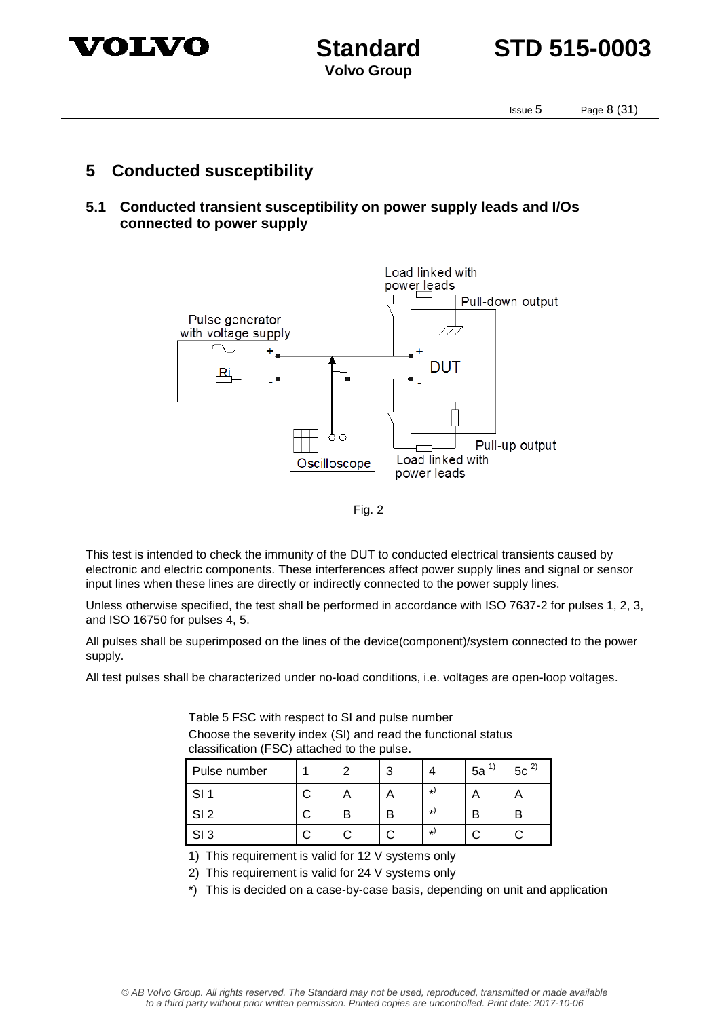

**Standard STD 515-0003**

Issue 5 Page 8 (31)

### **5 Conducted susceptibility**

**5.1 Conducted transient susceptibility on power supply leads and I/Os connected to power supply**



Fig. 2

This test is intended to check the immunity of the DUT to conducted electrical transients caused by electronic and electric components. These interferences affect power supply lines and signal or sensor input lines when these lines are directly or indirectly connected to the power supply lines.

Unless otherwise specified, the test shall be performed in accordance with ISO 7637-2 for pulses 1, 2, 3, and ISO 16750 for pulses 4, 5.

All pulses shall be superimposed on the lines of the device(component)/system connected to the power supply.

All test pulses shall be characterized under no-load conditions, i.e. voltages are open-loop voltages.

| classification (FSC) attached to the pulse. |  |  |  |    |          |          |
|---------------------------------------------|--|--|--|----|----------|----------|
| Pulse number                                |  |  |  |    | $5a^{1}$ | $5c^{2}$ |
| SL 1                                        |  |  |  | *) |          |          |
| SI <sub>2</sub>                             |  |  |  | *) |          |          |
| SI <sub>3</sub>                             |  |  |  | *) |          |          |

Table 5 FSC with respect to SI and pulse number Choose the severity index (SI) and read the functional status

1) This requirement is valid for 12 V systems only

2) This requirement is valid for 24 V systems only

\*) This is decided on a case-by-case basis, depending on unit and application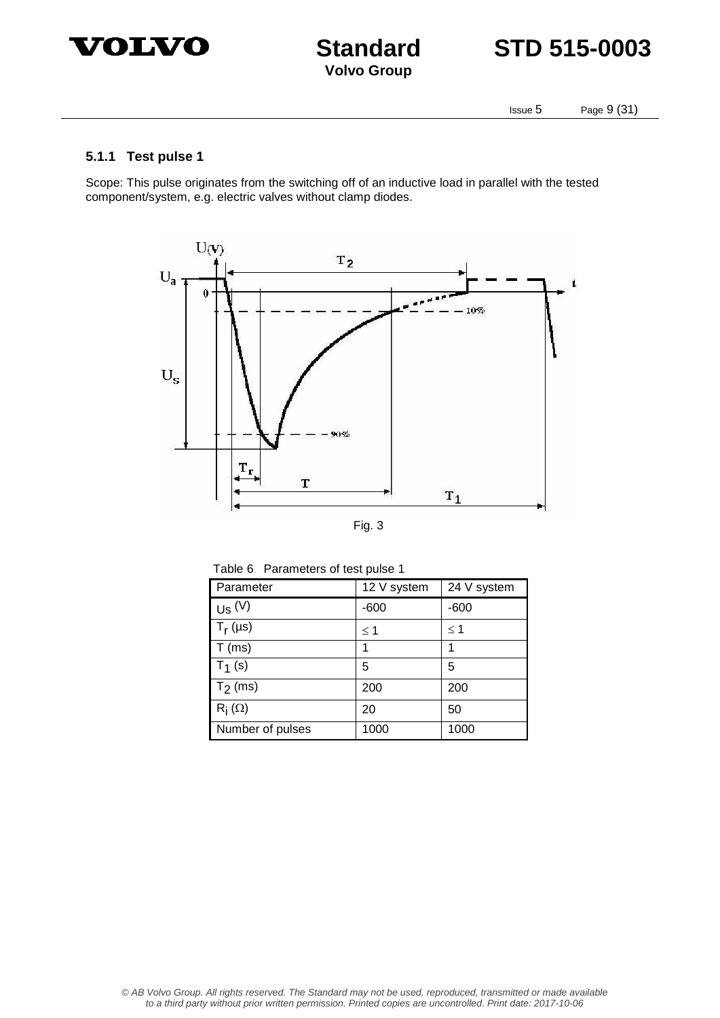



Issue 5 Page 9 (31)

#### **5.1.1 Test pulse 1**

Scope: This pulse originates from the switching off of an inductive load in parallel with the tested component/system, e.g. electric valves without clamp diodes.



|  | ۰.<br>× |
|--|---------|

| Parameter        | 12 V system | 24 V system |  |  |  |
|------------------|-------------|-------------|--|--|--|
| $Us$ $(V)$       | $-600$      | $-600$      |  |  |  |
| $T_r(\mu s)$     | $\leq$ 1    | $\leq$ 1    |  |  |  |
| $T$ (ms)         | 1           | 1           |  |  |  |
| $T_1(s)$         | 5           | 5           |  |  |  |
| $T_2$ (ms)       | 200         | 200         |  |  |  |
| $R_i(\Omega)$    | 20          | 50          |  |  |  |
| Number of pulses | 1000        | 1000        |  |  |  |

Table 6 Parameters of test pulse 1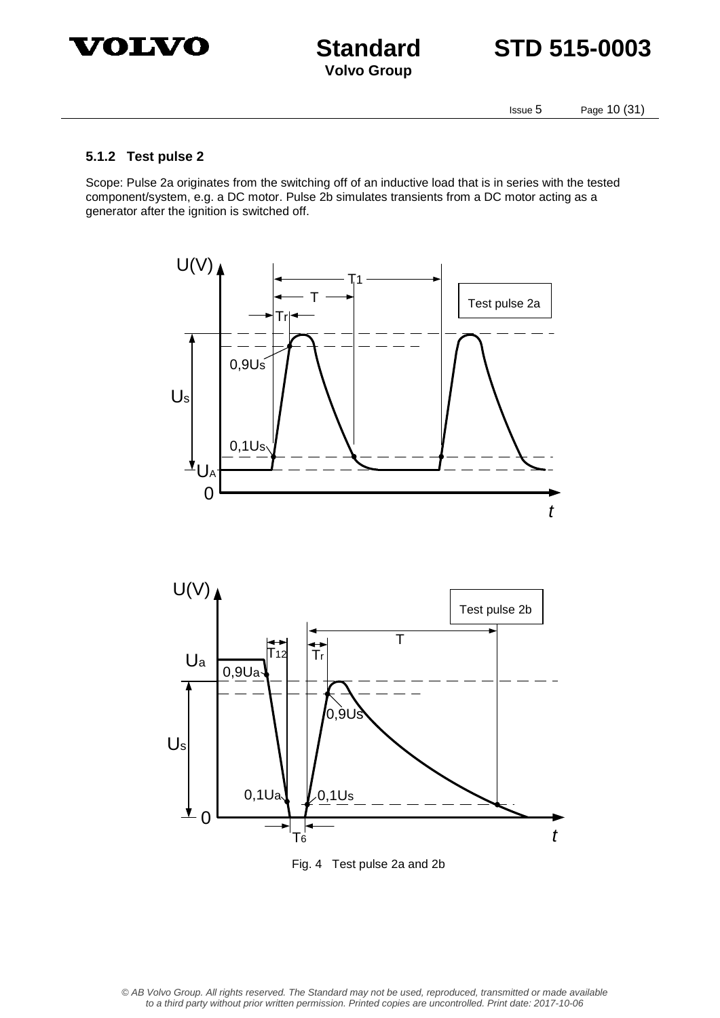



Issue 5 Page 10 (31)

#### **5.1.2 Test pulse 2**

Scope: Pulse 2a originates from the switching off of an inductive load that is in series with the tested component/system, e.g. a DC motor. Pulse 2b simulates transients from a DC motor acting as a generator after the ignition is switched off.





Fig. 4 Test pulse 2a and 2b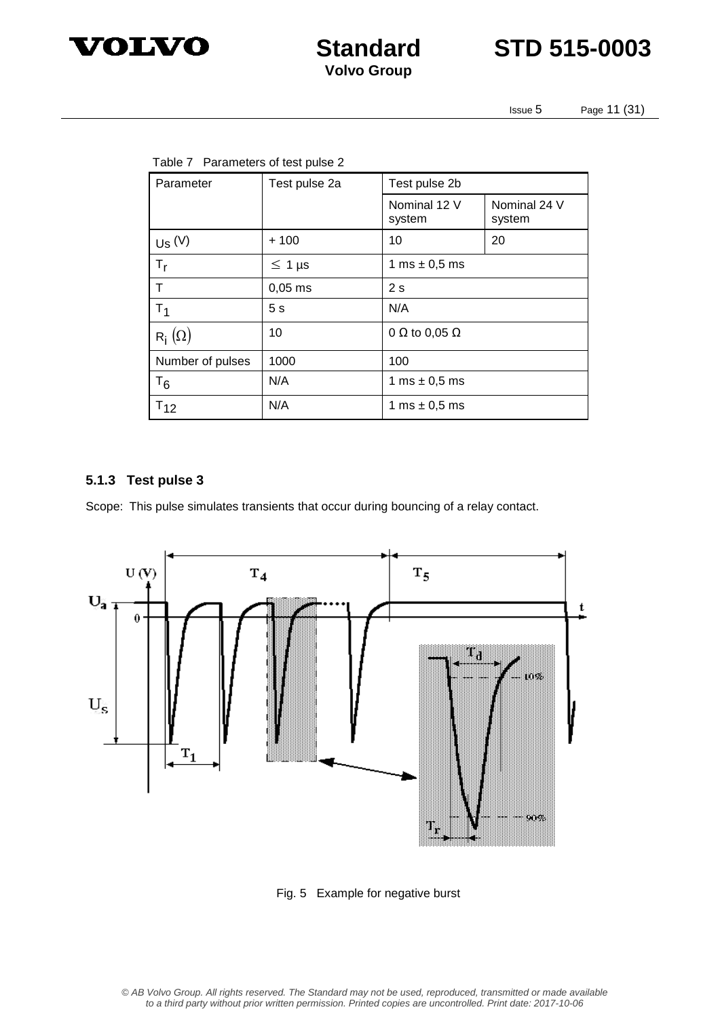



Issue 5 Page 11 (31)

| Parameter         | Test pulse 2a  | Test pulse 2b               |                        |  |  |
|-------------------|----------------|-----------------------------|------------------------|--|--|
|                   |                | Nominal 12 V<br>system      | Nominal 24 V<br>system |  |  |
| Us <sup>(V)</sup> | $+100$         | 10                          | 20                     |  |  |
| $T_{\rm r}$       | $\leq 1$ µs    | 1 ms $\pm$ 0,5 ms           |                        |  |  |
| т                 | $0,05$ ms      | 2s                          |                        |  |  |
| T <sub>1</sub>    | 5 <sub>s</sub> | N/A                         |                        |  |  |
| $R_i(\Omega)$     | 10             | 0 $\Omega$ to 0,05 $\Omega$ |                        |  |  |
| Number of pulses  | 1000           | 100                         |                        |  |  |
| $T_6$             | N/A            | 1 ms $\pm$ 0,5 ms           |                        |  |  |
| $T_{12}$          | N/A            | 1 ms $\pm$ 0,5 ms           |                        |  |  |

#### **5.1.3 Test pulse 3**

Scope: This pulse simulates transients that occur during bouncing of a relay contact.



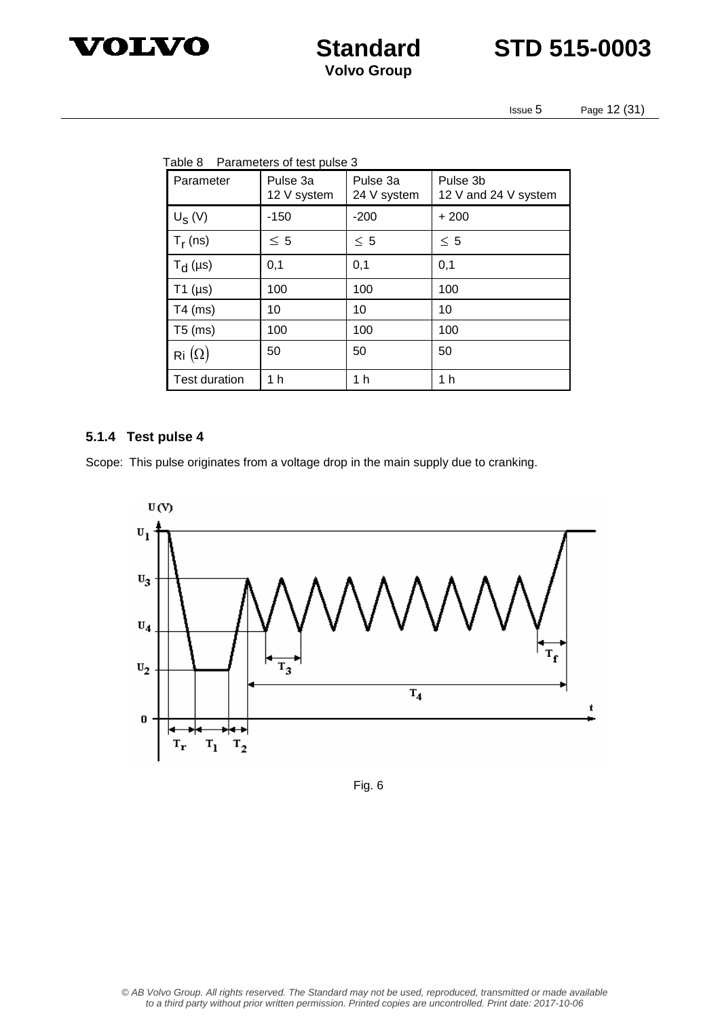



Issue 5 Page 12 (31)

| Table 8 Parameters of test pulse 3 |                      |                         |                         |                                  |
|------------------------------------|----------------------|-------------------------|-------------------------|----------------------------------|
|                                    | Parameter            | Pulse 3a<br>12 V system | Pulse 3a<br>24 V system | Pulse 3b<br>12 V and 24 V system |
|                                    | $U_S(V)$             | $-150$                  | $-200$                  | $+200$                           |
|                                    | $T_r$ (ns)           | $\leq 5$                | $\leq 5$                | $\leq 5$                         |
|                                    | $T_{d}$ (µs)         | 0,1                     | 0,1                     | 0,1                              |
|                                    | $T1$ ( $\mu s$ )     | 100                     | 100                     | 100                              |
|                                    | $T4$ (ms)            | 10                      | 10                      | 10                               |
|                                    | $T5$ (ms)            | 100                     | 100                     | 100                              |
|                                    | Ri $(\Omega)$        | 50                      | 50                      | 50                               |
|                                    | <b>Test duration</b> | 1 h                     | 1 h                     | 1 h                              |

#### **5.1.4 Test pulse 4**

Scope: This pulse originates from a voltage drop in the main supply due to cranking.



Fig. 6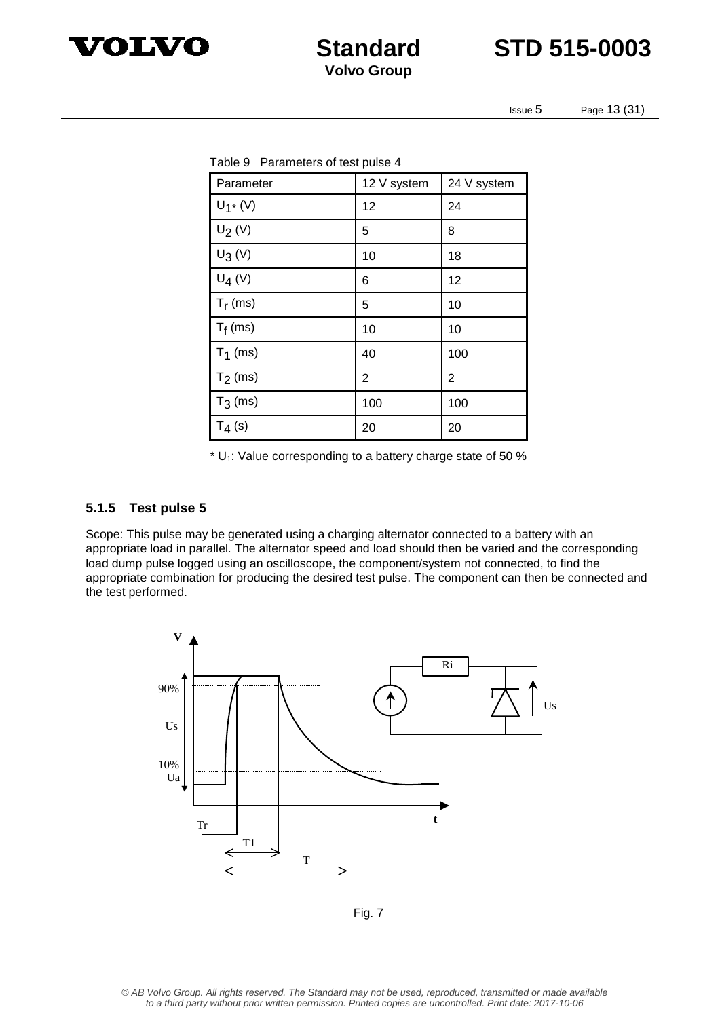



Issue 5 Page 13 (31)

| Table 9 Parameters of test pulse 4 |             |             |  |  |  |
|------------------------------------|-------------|-------------|--|--|--|
| Parameter                          | 12 V system | 24 V system |  |  |  |
| $U_1$ * (V)                        | 12          | 24          |  |  |  |
| $U_2(V)$                           | 5           | 8           |  |  |  |
| $U_3(V)$                           | 10          | 18          |  |  |  |
| $U_4(V)$                           | 6           | 12          |  |  |  |
| $T_r$ (ms)                         | 5           | 10          |  |  |  |
| $T_f$ (ms)                         | 10          | 10          |  |  |  |
| $T_1$ (ms)                         | 40          | 100         |  |  |  |
| $T_2$ (ms)                         | 2           | 2           |  |  |  |
| $T_3$ (ms)                         | 100         | 100         |  |  |  |
| $T_4(s)$                           | 20          | 20          |  |  |  |

 $*$  U<sub>1</sub>: Value corresponding to a battery charge state of 50 %

#### **5.1.5 Test pulse 5**

Scope: This pulse may be generated using a charging alternator connected to a battery with an appropriate load in parallel. The alternator speed and load should then be varied and the corresponding load dump pulse logged using an oscilloscope, the component/system not connected, to find the appropriate combination for producing the desired test pulse. The component can then be connected and the test performed.



Fig. 7

© AB Volvo Group. All rights reserved. The Standard may not be used, reproduced, transmitted or made available to a third party without prior written permission. Printed copies are uncontrolled. Print date: 2017-10-06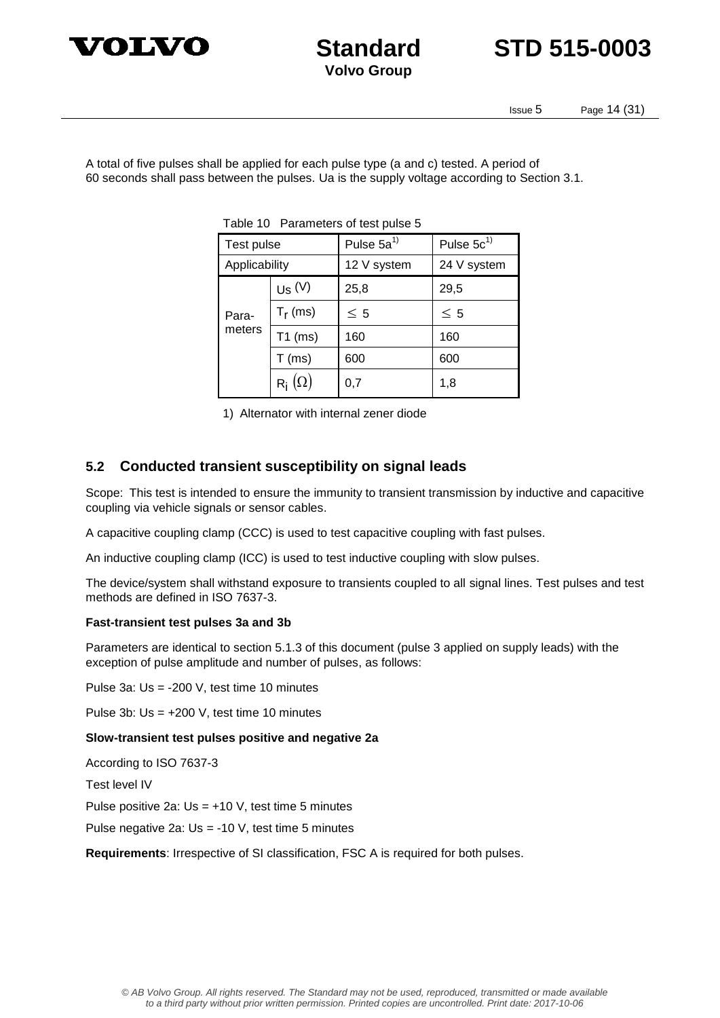



Issue 5 Page 14 (31)

A total of five pulses shall be applied for each pulse type (a and c) tested. A period of 60 seconds shall pass between the pulses. Ua is the supply voltage according to Section 3.1.

| Test pulse      |               | Pulse $5a^{1}$ | Pulse $5c^{1}$ |  |  |  |
|-----------------|---------------|----------------|----------------|--|--|--|
| Applicability   |               | 12 V system    | 24 V system    |  |  |  |
| Para-<br>meters | $Us$ $(V)$    | 25,8           | 29,5           |  |  |  |
|                 | $T_r$ (ms)    | $\leq 5$       | $\leq 5$       |  |  |  |
|                 | $T1$ (ms)     | 160            | 160            |  |  |  |
|                 | $T$ (ms)      | 600            | 600            |  |  |  |
|                 | $R_i(\Omega)$ | 0,7            | 1,8            |  |  |  |

Table 10 Parameters of test pulse 5

1) Alternator with internal zener diode

#### **5.2 Conducted transient susceptibility on signal leads**

Scope: This test is intended to ensure the immunity to transient transmission by inductive and capacitive coupling via vehicle signals or sensor cables.

A capacitive coupling clamp (CCC) is used to test capacitive coupling with fast pulses.

An inductive coupling clamp (ICC) is used to test inductive coupling with slow pulses.

The device/system shall withstand exposure to transients coupled to all signal lines. Test pulses and test methods are defined in ISO 7637-3.

#### **Fast-transient test pulses 3a and 3b**

Parameters are identical to section 5.1.3 of this document (pulse 3 applied on supply leads) with the exception of pulse amplitude and number of pulses, as follows:

Pulse 3a: Us = -200 V, test time 10 minutes

Pulse 3b: Us = +200 V, test time 10 minutes

**Slow-transient test pulses positive and negative 2a** 

According to ISO 7637-3

Test level IV

Pulse positive 2a: Us = +10 V, test time 5 minutes

Pulse negative 2a: Us = -10 V, test time 5 minutes

**Requirements**: Irrespective of SI classification, FSC A is required for both pulses.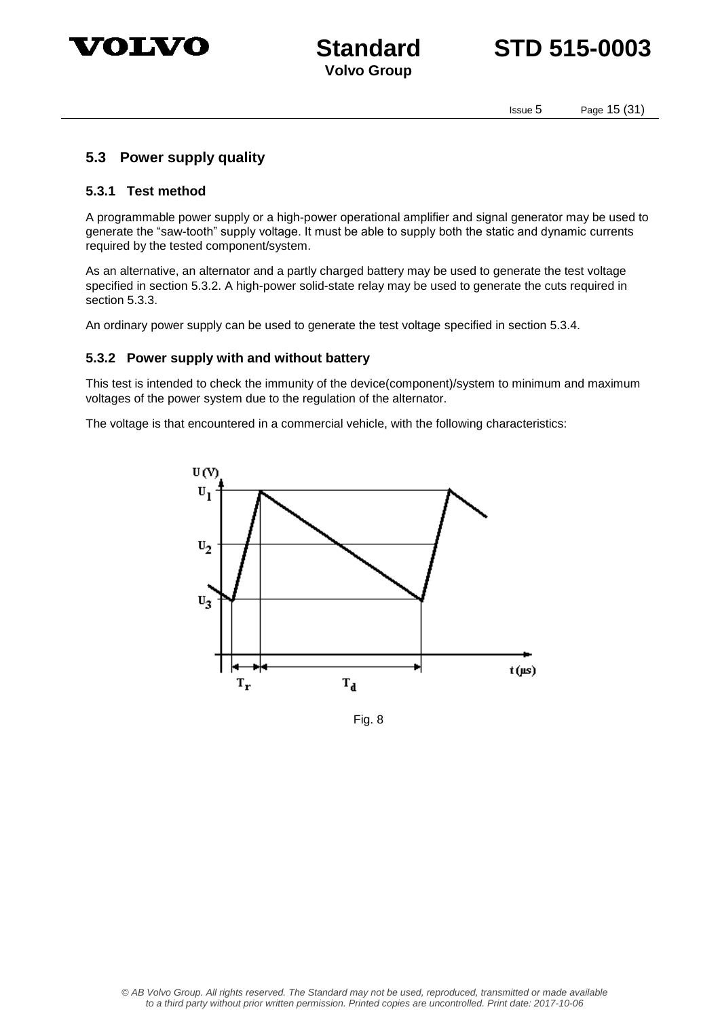



Issue 5 Page 15 (31)

#### **5.3 Power supply quality**

#### **5.3.1 Test method**

A programmable power supply or a high-power operational amplifier and signal generator may be used to generate the "saw-tooth" supply voltage. It must be able to supply both the static and dynamic currents required by the tested component/system.

As an alternative, an alternator and a partly charged battery may be used to generate the test voltage specified in section 5.3.2. A high-power solid-state relay may be used to generate the cuts required in section 5.3.3.

An ordinary power supply can be used to generate the test voltage specified in section 5.3.4.

#### **5.3.2 Power supply with and without battery**

This test is intended to check the immunity of the device(component)/system to minimum and maximum voltages of the power system due to the regulation of the alternator.

The voltage is that encountered in a commercial vehicle, with the following characteristics:



Fig. 8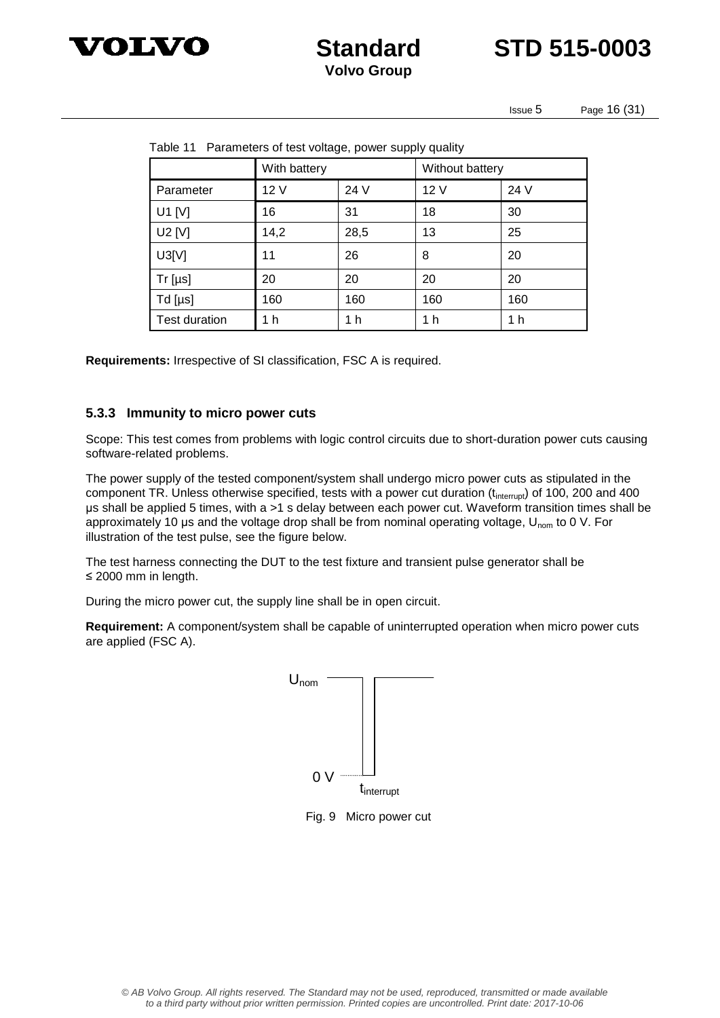

**Standard STD 515-0003**

Issue 5 Page 16 (31)

| Table TT Fatameters of test voltage, power supply quality |              |      |                 |      |  |  |
|-----------------------------------------------------------|--------------|------|-----------------|------|--|--|
|                                                           | With battery |      | Without battery |      |  |  |
| Parameter                                                 | 12 V         | 24 V | 12 V            | 24 V |  |  |
| U1 $[V]$                                                  | 16           | 31   | 18              | 30   |  |  |
| U2 [V]                                                    | 14,2         | 28,5 | 13              | 25   |  |  |
| U3[V]                                                     | 11           | 26   | 8               | 20   |  |  |
| $Tr [ \mu s ]$                                            | 20           | 20   | 20              | 20   |  |  |
| $Td$ [µs]                                                 | 160          | 160  | 160             | 160  |  |  |
| <b>Test duration</b>                                      | 1 h          | 1 h  | 1 h             | 1 h  |  |  |

Table 11 Parameters of test voltage, power supply quality

**Requirements:** Irrespective of SI classification, FSC A is required.

#### **5.3.3 Immunity to micro power cuts**

Scope: This test comes from problems with logic control circuits due to short-duration power cuts causing software-related problems.

The power supply of the tested component/system shall undergo micro power cuts as stipulated in the component TR. Unless otherwise specified, tests with a power cut duration (t<sub>interrupt</sub>) of 100, 200 and 400 μs shall be applied 5 times, with a >1 s delay between each power cut. Waveform transition times shall be approximately 10 μs and the voltage drop shall be from nominal operating voltage, U<sub>nom</sub> to 0 V. For illustration of the test pulse, see the figure below.

The test harness connecting the DUT to the test fixture and transient pulse generator shall be ≤ 2000 mm in length.

During the micro power cut, the supply line shall be in open circuit.

**Requirement:** A component/system shall be capable of uninterrupted operation when micro power cuts are applied (FSC A).



Fig. 9 Micro power cut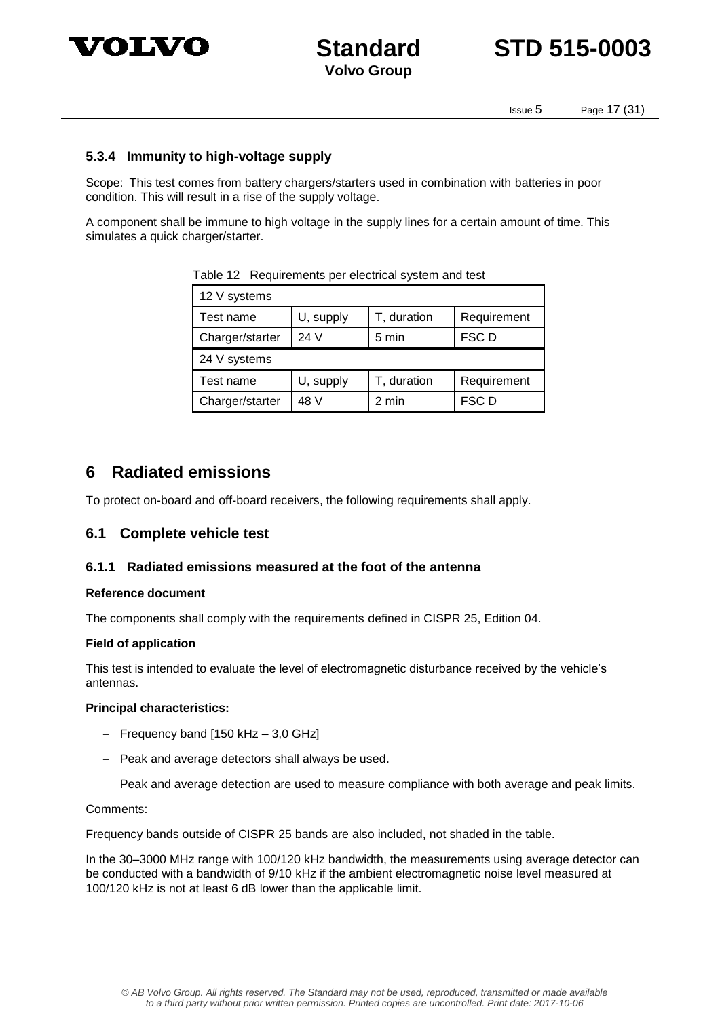



Issue 5 Page 17 (31)

#### **5.3.4 Immunity to high-voltage supply**

Scope: This test comes from battery chargers/starters used in combination with batteries in poor condition. This will result in a rise of the supply voltage.

A component shall be immune to high voltage in the supply lines for a certain amount of time. This simulates a quick charger/starter.

| 12 V systems    |           |             |             |  |  |  |
|-----------------|-----------|-------------|-------------|--|--|--|
| Test name       | U, supply | T, duration | Requirement |  |  |  |
| Charger/starter | 24 V      | 5 min       | FSC D       |  |  |  |
| 24 V systems    |           |             |             |  |  |  |
| Test name       | U, supply | T, duration | Requirement |  |  |  |
| Charger/starter | 48 V      | 2 min       | FSC D       |  |  |  |

Table 12 Requirements per electrical system and test

### **6 Radiated emissions**

To protect on-board and off-board receivers, the following requirements shall apply.

#### **6.1 Complete vehicle test**

#### **6.1.1 Radiated emissions measured at the foot of the antenna**

#### **Reference document**

The components shall comply with the requirements defined in CISPR 25, Edition 04.

#### **Field of application**

This test is intended to evaluate the level of electromagnetic disturbance received by the vehicle's antennas.

#### **Principal characteristics:**

- $-$  Frequency band [150 kHz  $-$  3,0 GHz]
- Peak and average detectors shall always be used.
- $-$  Peak and average detection are used to measure compliance with both average and peak limits.

Comments:

Frequency bands outside of CISPR 25 bands are also included, not shaded in the table.

In the 30–3000 MHz range with 100/120 kHz bandwidth, the measurements using average detector can be conducted with a bandwidth of 9/10 kHz if the ambient electromagnetic noise level measured at 100/120 kHz is not at least 6 dB lower than the applicable limit.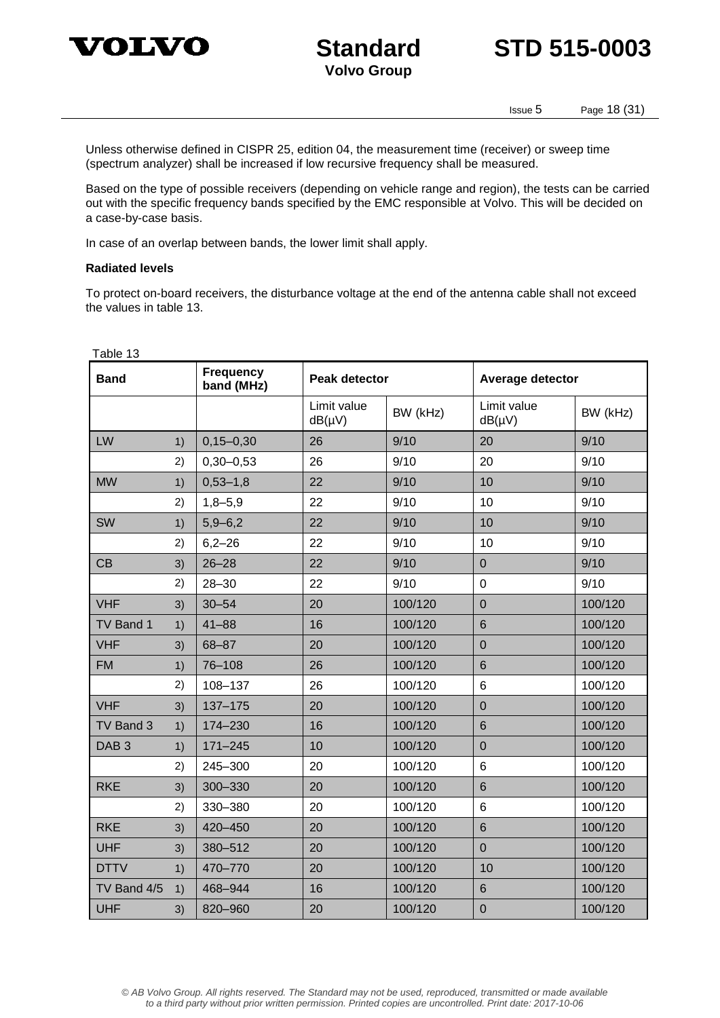



Issue 5 Page 18 (31)

Unless otherwise defined in CISPR 25, edition 04, the measurement time (receiver) or sweep time (spectrum analyzer) shall be increased if low recursive frequency shall be measured.

Based on the type of possible receivers (depending on vehicle range and region), the tests can be carried out with the specific frequency bands specified by the EMC responsible at Volvo. This will be decided on a case-by-case basis.

In case of an overlap between bands, the lower limit shall apply.

#### **Radiated levels**

To protect on-board receivers, the disturbance voltage at the end of the antenna cable shall not exceed the values in table 13.

| Table 13         |    |                                |                            |          |                            |          |
|------------------|----|--------------------------------|----------------------------|----------|----------------------------|----------|
| <b>Band</b>      |    | <b>Frequency</b><br>band (MHz) | <b>Peak detector</b>       |          | <b>Average detector</b>    |          |
|                  |    |                                | Limit value<br>$dB(\mu V)$ | BW (kHz) | Limit value<br>$dB(\mu V)$ | BW (kHz) |
| LW               | 1) | $0, 15 - 0, 30$                | 26                         | 9/10     | 20                         | 9/10     |
|                  | 2) | $0,30 - 0,53$                  | 26                         | 9/10     | 20                         | 9/10     |
| <b>MW</b>        | 1) | $0,53 - 1,8$                   | 22                         | 9/10     | 10                         | 9/10     |
|                  | 2) | $1,8 - 5,9$                    | 22                         | 9/10     | 10                         | 9/10     |
| <b>SW</b>        | 1) | $5,9 - 6,2$                    | 22                         | 9/10     | 10                         | 9/10     |
|                  | 2) | $6,2 - 26$                     | 22                         | 9/10     | 10                         | 9/10     |
| CB               | 3) | $26 - 28$                      | 22                         | 9/10     | $\mathbf 0$                | 9/10     |
|                  | 2) | $28 - 30$                      | 22                         | 9/10     | $\mathbf 0$                | 9/10     |
| <b>VHF</b>       | 3) | $30 - 54$                      | 20                         | 100/120  | $\overline{0}$             | 100/120  |
| TV Band 1        | 1) | $41 - 88$                      | 16                         | 100/120  | $6\phantom{1}6$            | 100/120  |
| <b>VHF</b>       | 3) | 68-87                          | 20                         | 100/120  | $\overline{0}$             | 100/120  |
| <b>FM</b>        | 1) | 76-108                         | 26                         | 100/120  | $6\phantom{1}$             | 100/120  |
|                  | 2) | 108-137                        | 26                         | 100/120  | $6\phantom{1}$             | 100/120  |
| <b>VHF</b>       | 3) | 137-175                        | 20                         | 100/120  | $\mathbf 0$                | 100/120  |
| TV Band 3        | 1) | 174-230                        | 16                         | 100/120  | $6\phantom{1}6$            | 100/120  |
| DAB <sub>3</sub> | 1) | $171 - 245$                    | 10                         | 100/120  | $\overline{0}$             | 100/120  |
|                  | 2) | 245-300                        | 20                         | 100/120  | 6                          | 100/120  |
| <b>RKE</b>       | 3) | 300-330                        | 20                         | 100/120  | $6\phantom{1}$             | 100/120  |
|                  | 2) | 330-380                        | 20                         | 100/120  | $6\phantom{1}$             | 100/120  |
| <b>RKE</b>       | 3) | 420-450                        | 20                         | 100/120  | $6\phantom{1}$             | 100/120  |
| <b>UHF</b>       | 3) | 380-512                        | 20                         | 100/120  | $\overline{0}$             | 100/120  |
| <b>DTTV</b>      | 1) | 470-770                        | 20                         | 100/120  | 10                         | 100/120  |
| TV Band 4/5      | 1) | 468-944                        | 16                         | 100/120  | $6\phantom{1}$             | 100/120  |
| <b>UHF</b>       | 3) | 820-960                        | 20                         | 100/120  | $\mathbf 0$                | 100/120  |

© AB Volvo Group. All rights reserved. The Standard may not be used, reproduced, transmitted or made available to a third party without prior written permission. Printed copies are uncontrolled. Print date: 2017-10-06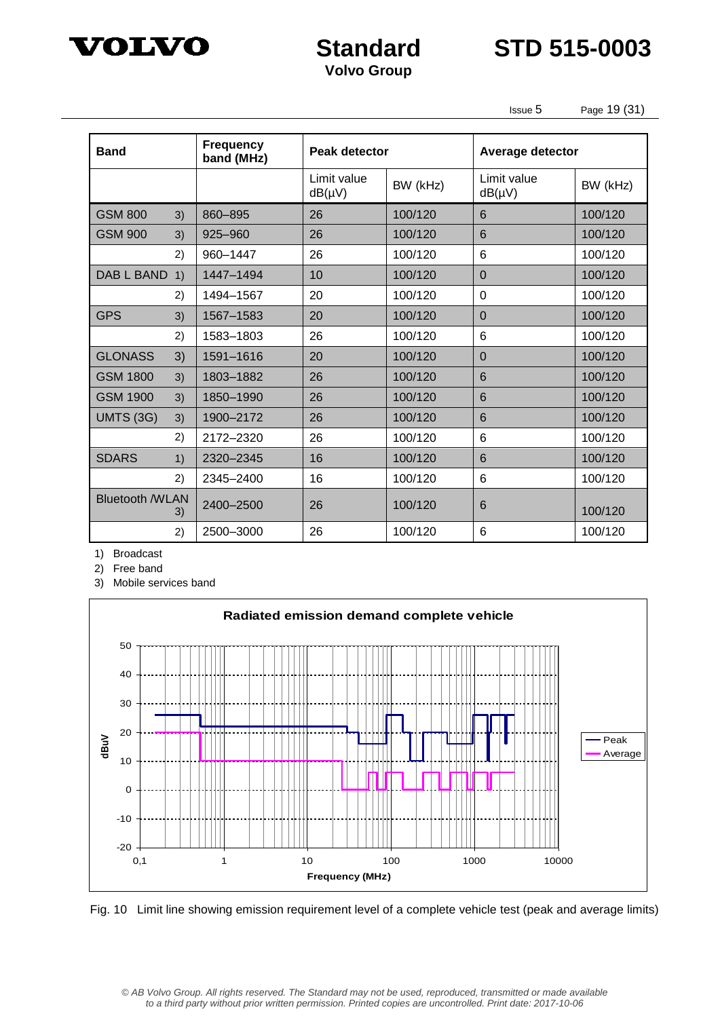



Issue 5 Page 19 (31)

| <b>Band</b>            |    | <b>Frequency</b><br>band (MHz) | Peak detector              |          | Average detector           |          |
|------------------------|----|--------------------------------|----------------------------|----------|----------------------------|----------|
|                        |    |                                | Limit value<br>$dB(\mu V)$ | BW (kHz) | Limit value<br>$dB(\mu V)$ | BW (kHz) |
| <b>GSM 800</b>         | 3) | 860-895                        | 26                         | 100/120  | 6                          | 100/120  |
| <b>GSM 900</b>         | 3) | 925-960                        | 26                         | 100/120  | 6                          | 100/120  |
|                        | 2) | 960-1447                       | 26                         | 100/120  | 6                          | 100/120  |
| <b>DAB L BAND</b>      | 1) | 1447-1494                      | 10                         | 100/120  | $\Omega$                   | 100/120  |
|                        | 2) | 1494-1567                      | 20                         | 100/120  | $\mathbf 0$                | 100/120  |
| <b>GPS</b>             | 3) | 1567-1583                      | 20                         | 100/120  | $\Omega$                   | 100/120  |
|                        | 2) | 1583-1803                      | 26                         | 100/120  | 6                          | 100/120  |
| <b>GLONASS</b>         | 3) | 1591-1616                      | 20                         | 100/120  | $\overline{0}$             | 100/120  |
| <b>GSM 1800</b>        | 3) | 1803-1882                      | 26                         | 100/120  | 6                          | 100/120  |
| <b>GSM 1900</b>        | 3) | 1850-1990                      | 26                         | 100/120  | 6                          | 100/120  |
| <b>UMTS (3G)</b>       | 3) | 1900-2172                      | 26                         | 100/120  | 6                          | 100/120  |
|                        | 2) | 2172-2320                      | 26                         | 100/120  | 6                          | 100/120  |
| <b>SDARS</b>           | 1) | 2320-2345                      | 16                         | 100/120  | 6                          | 100/120  |
|                        | 2) | 2345-2400                      | 16                         | 100/120  | 6                          | 100/120  |
| <b>Bluetooth /WLAN</b> | 3) | 2400-2500                      | 26                         | 100/120  | 6                          | 100/120  |
|                        | 2) | 2500-3000                      | 26                         | 100/120  | 6                          | 100/120  |

1) Broadcast

2) Free band

3) Mobile services band



Fig. 10 Limit line showing emission requirement level of a complete vehicle test (peak and average limits)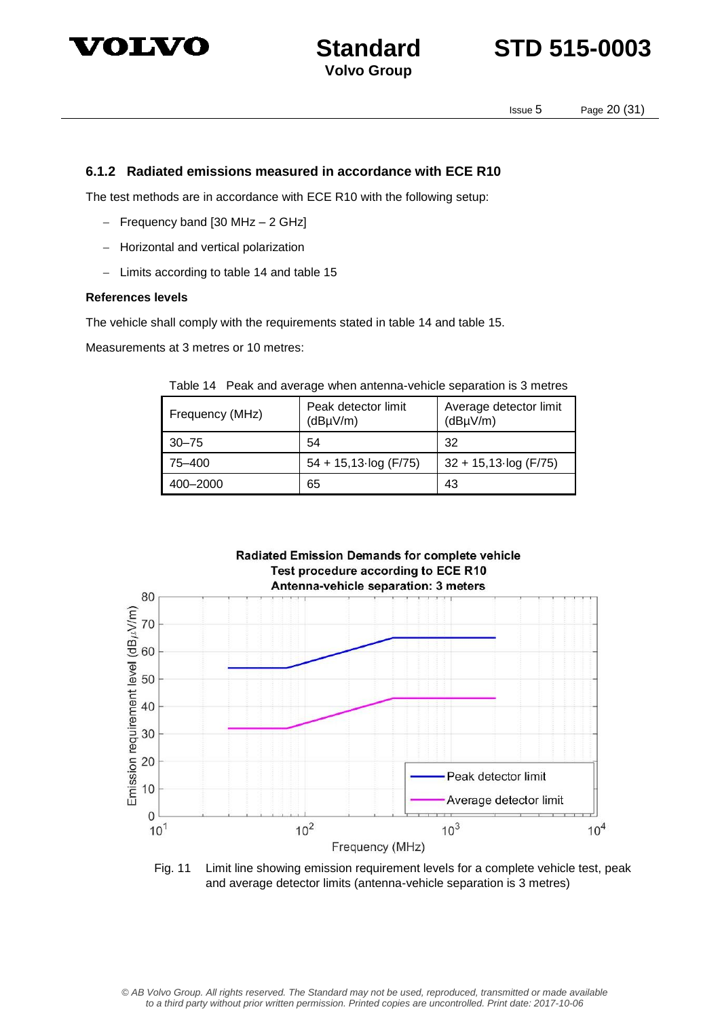



Issue 5 Page 20 (31)

#### **6.1.2 Radiated emissions measured in accordance with ECE R10**

The test methods are in accordance with ECE R10 with the following setup:

- $-$  Frequency band [30 MHz  $-$  2 GHz]
- Horizontal and vertical polarization
- Limits according to table 14 and table 15

#### **References levels**

The vehicle shall comply with the requirements stated in table 14 and table 15.

Measurements at 3 metres or 10 metres:

|  | Table 14 Peak and average when antenna-vehicle separation is 3 metres |
|--|-----------------------------------------------------------------------|
|  |                                                                       |

| Frequency (MHz) | Peak detector limit<br>(dBµV/m) | Average detector limit<br>(dBµV/m) |
|-----------------|---------------------------------|------------------------------------|
| $30 - 75$       | 54                              | 32                                 |
| 75–400          | $54 + 15,13$ log (F/75)         | $32 + 15,13 \log (F/75)$           |
| 400-2000        | 65                              | 43                                 |



Fig. 11 Limit line showing emission requirement levels for a complete vehicle test, peak and average detector limits (antenna-vehicle separation is 3 metres)

© AB Volvo Group. All rights reserved. The Standard may not be used, reproduced, transmitted or made available to a third party without prior written permission. Printed copies are uncontrolled. Print date: 2017-10-06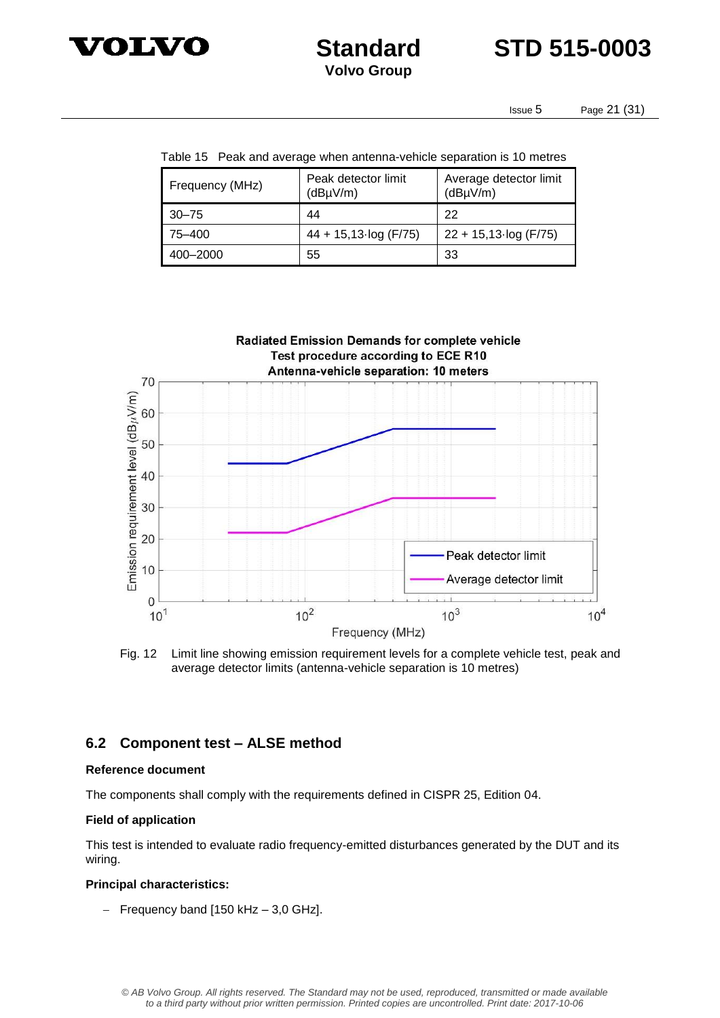

**Standard STD 515-0003**

Issue 5 Page 21 (31)

Table 15 Peak and average when antenna-vehicle separation is 10 metres

| Frequency (MHz) | Peak detector limit<br>(dByV/m) | Average detector limit<br>$(dB\mu V/m)$ |  |
|-----------------|---------------------------------|-----------------------------------------|--|
| $30 - 75$       | 44                              | 22                                      |  |
| 75–400          | $44 + 15,13 \log (F/75)$        | $22 + 15,13 \cdot \log(F/75)$           |  |
| 400-2000        | 55                              | 33                                      |  |



Fig. 12 Limit line showing emission requirement levels for a complete vehicle test, peak and average detector limits (antenna-vehicle separation is 10 metres)

#### **6.2 Component test – ALSE method**

#### **Reference document**

The components shall comply with the requirements defined in CISPR 25, Edition 04.

#### **Field of application**

This test is intended to evaluate radio frequency-emitted disturbances generated by the DUT and its wiring.

#### **Principal characteristics:**

 $-$  Frequency band [150 kHz  $-$  3,0 GHz].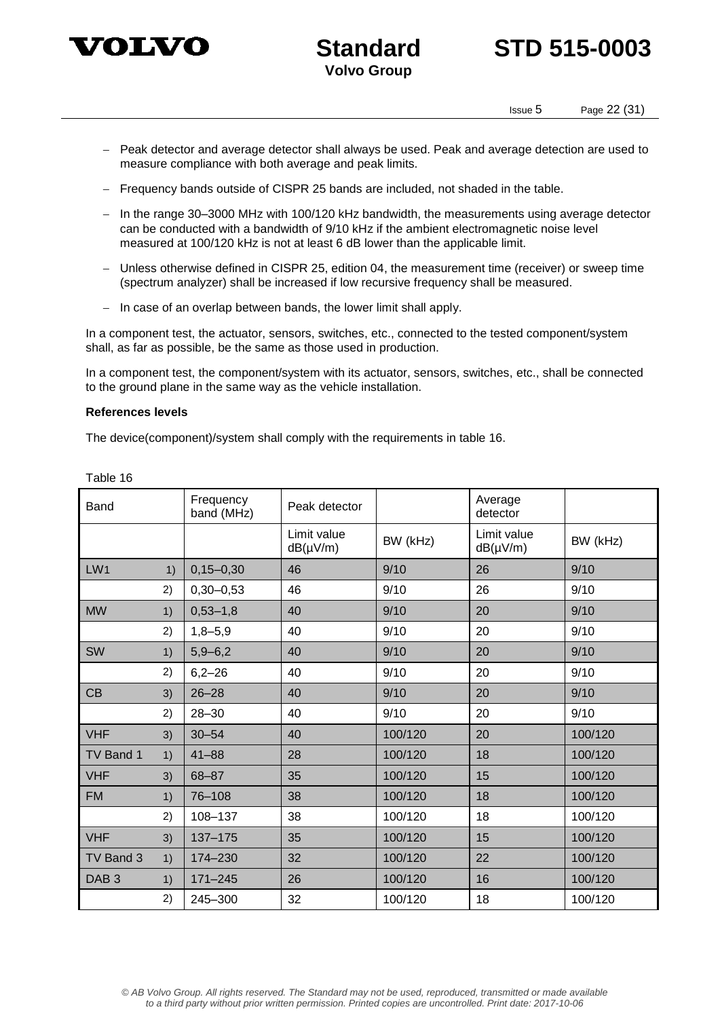

## **Standard STD 515-0003**

Issue 5 Page 22 (31)

- Peak detector and average detector shall always be used. Peak and average detection are used to measure compliance with both average and peak limits.
- Frequency bands outside of CISPR 25 bands are included, not shaded in the table.
- In the range 30-3000 MHz with 100/120 kHz bandwidth, the measurements using average detector can be conducted with a bandwidth of 9/10 kHz if the ambient electromagnetic noise level measured at 100/120 kHz is not at least 6 dB lower than the applicable limit.
- Unless otherwise defined in CISPR 25, edition 04, the measurement time (receiver) or sweep time (spectrum analyzer) shall be increased if low recursive frequency shall be measured.
- $-$  In case of an overlap between bands, the lower limit shall apply.

In a component test, the actuator, sensors, switches, etc., connected to the tested component/system shall, as far as possible, be the same as those used in production.

In a component test, the component/system with its actuator, sensors, switches, etc., shall be connected to the ground plane in the same way as the vehicle installation.

#### **References levels**

The device(component)/system shall comply with the requirements in table 16.

| Band             |    | Frequency<br>band (MHz) | Peak detector                |          | Average<br>detector          |          |
|------------------|----|-------------------------|------------------------------|----------|------------------------------|----------|
|                  |    |                         | Limit value<br>$dB(\mu V/m)$ | BW (kHz) | Limit value<br>$dB(\mu V/m)$ | BW (kHz) |
| LW1              | 1) | $0, 15 - 0, 30$         | 46                           | 9/10     | 26                           | 9/10     |
|                  | 2) | $0,30 - 0,53$           | 46                           | 9/10     | 26                           | 9/10     |
| <b>MW</b>        | 1) | $0,53 - 1,8$            | 40                           | 9/10     | 20                           | 9/10     |
|                  | 2) | $1,8 - 5,9$             | 40                           | 9/10     | 20                           | 9/10     |
| SW               | 1) | $5,9 - 6,2$             | 40                           | 9/10     | 20                           | 9/10     |
|                  | 2) | $6,2 - 26$              | 40                           | 9/10     | 20                           | 9/10     |
| CB               | 3) | $26 - 28$               | 40                           | 9/10     | 20                           | 9/10     |
|                  | 2) | $28 - 30$               | 40                           | 9/10     | 20                           | 9/10     |
| <b>VHF</b>       | 3) | $30 - 54$               | 40                           | 100/120  | 20                           | 100/120  |
| TV Band 1        | 1) | $41 - 88$               | 28                           | 100/120  | 18                           | 100/120  |
| <b>VHF</b>       | 3) | 68-87                   | 35                           | 100/120  | 15                           | 100/120  |
| <b>FM</b>        | 1) | 76-108                  | 38                           | 100/120  | 18                           | 100/120  |
|                  | 2) | 108-137                 | 38                           | 100/120  | 18                           | 100/120  |
| <b>VHF</b>       | 3) | 137-175                 | 35                           | 100/120  | 15                           | 100/120  |
| TV Band 3        | 1) | 174-230                 | 32                           | 100/120  | 22                           | 100/120  |
| DAB <sub>3</sub> | 1) | $171 - 245$             | 26                           | 100/120  | 16                           | 100/120  |
|                  | 2) | 245-300                 | 32                           | 100/120  | 18                           | 100/120  |

Table 16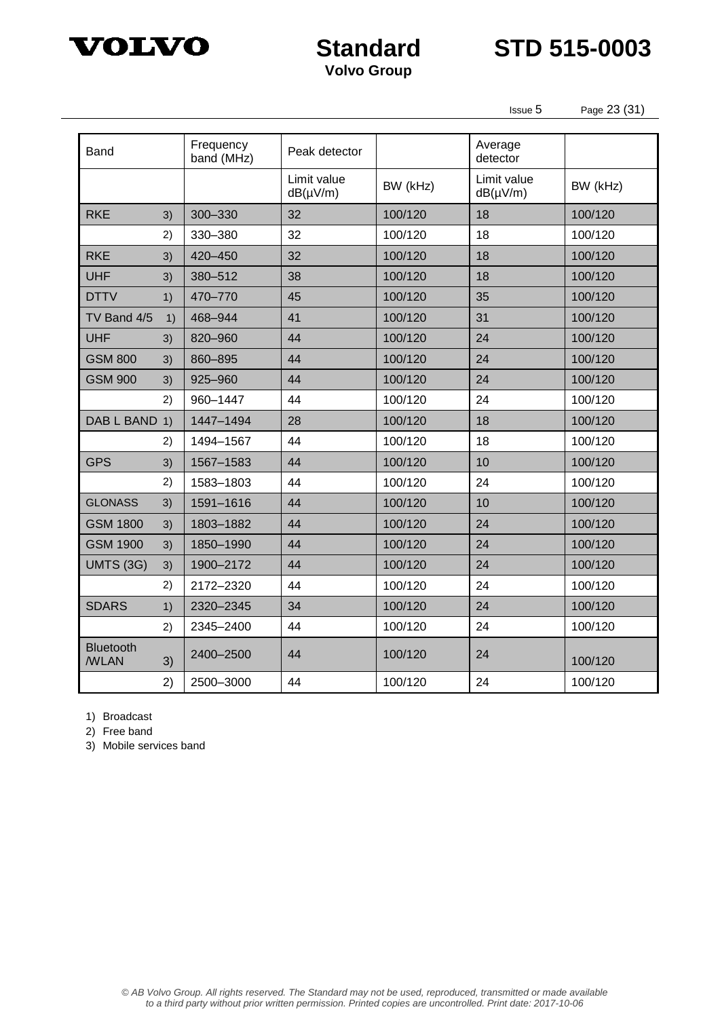

**Standard STD 515-0003**

Issue 5 Page 23 (31)

| Band                     |    | Frequency<br>band (MHz) | Peak detector                |          | Average<br>detector          |          |
|--------------------------|----|-------------------------|------------------------------|----------|------------------------------|----------|
|                          |    |                         | Limit value<br>$dB(\mu V/m)$ | BW (kHz) | Limit value<br>$dB(\mu V/m)$ | BW (kHz) |
| <b>RKE</b>               | 3) | 300-330                 | 32                           | 100/120  | 18                           | 100/120  |
|                          | 2) | 330-380                 | 32                           | 100/120  | 18                           | 100/120  |
| <b>RKE</b>               | 3) | 420-450                 | 32                           | 100/120  | 18                           | 100/120  |
| <b>UHF</b>               | 3) | 380-512                 | 38                           | 100/120  | 18                           | 100/120  |
| <b>DTTV</b>              | 1) | 470-770                 | 45                           | 100/120  | 35                           | 100/120  |
| TV Band 4/5              | 1) | 468-944                 | 41                           | 100/120  | 31                           | 100/120  |
| <b>UHF</b>               | 3) | 820-960                 | 44                           | 100/120  | 24                           | 100/120  |
| <b>GSM 800</b>           | 3) | 860-895                 | 44                           | 100/120  | 24                           | 100/120  |
| <b>GSM 900</b>           | 3) | 925-960                 | 44                           | 100/120  | 24                           | 100/120  |
|                          | 2) | 960-1447                | 44                           | 100/120  | 24                           | 100/120  |
| DAB L BAND 1)            |    | 1447-1494               | 28                           | 100/120  | 18                           | 100/120  |
|                          | 2) | 1494-1567               | 44                           | 100/120  | 18                           | 100/120  |
| <b>GPS</b>               | 3) | 1567-1583               | 44                           | 100/120  | 10                           | 100/120  |
|                          | 2) | 1583-1803               | 44                           | 100/120  | 24                           | 100/120  |
| <b>GLONASS</b>           | 3) | 1591-1616               | 44                           | 100/120  | 10                           | 100/120  |
| <b>GSM 1800</b>          | 3) | 1803-1882               | 44                           | 100/120  | 24                           | 100/120  |
| <b>GSM 1900</b>          | 3) | 1850-1990               | 44                           | 100/120  | 24                           | 100/120  |
| <b>UMTS (3G)</b>         | 3) | 1900-2172               | 44                           | 100/120  | 24                           | 100/120  |
|                          | 2) | 2172-2320               | 44                           | 100/120  | 24                           | 100/120  |
| <b>SDARS</b>             | 1) | 2320-2345               | 34                           | 100/120  | 24                           | 100/120  |
|                          | 2) | 2345-2400               | 44                           | 100/120  | 24                           | 100/120  |
| Bluetooth<br><b>WLAN</b> | 3) | 2400-2500               | 44                           | 100/120  | 24                           | 100/120  |
|                          | 2) | 2500-3000               | 44                           | 100/120  | 24                           | 100/120  |

1) Broadcast

2) Free band

3) Mobile services band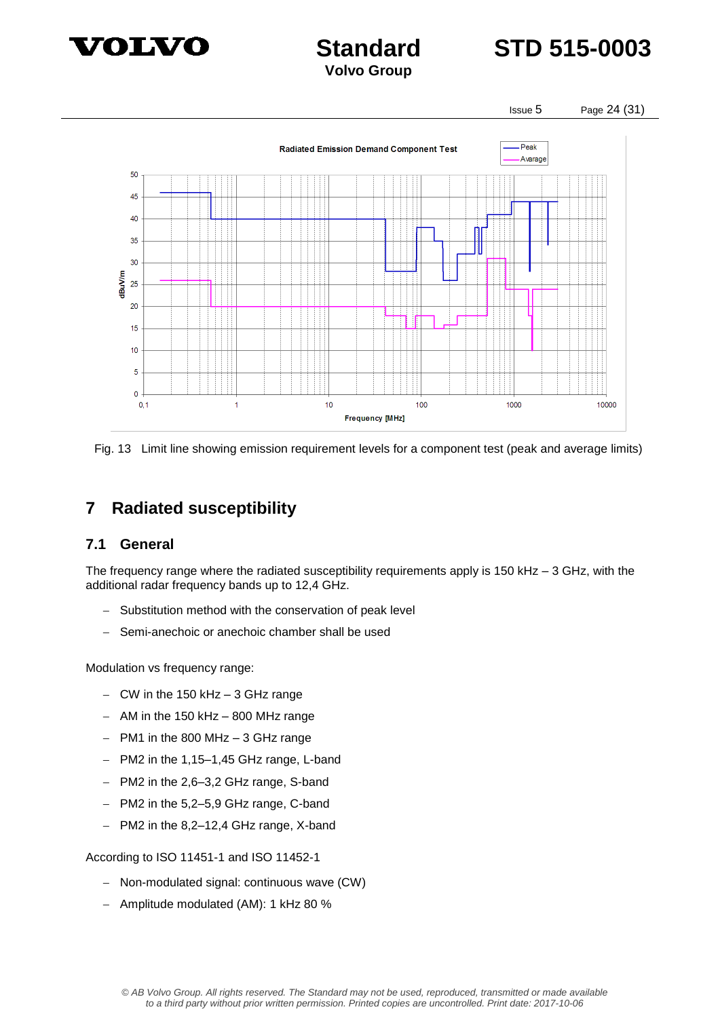



Issue 5 Page 24 (31)



Fig. 13 Limit line showing emission requirement levels for a component test (peak and average limits)

## **7 Radiated susceptibility**

#### **7.1 General**

The frequency range where the radiated susceptibility requirements apply is 150 kHz – 3 GHz, with the additional radar frequency bands up to 12,4 GHz.

- Substitution method with the conservation of peak level
- Semi-anechoic or anechoic chamber shall be used

Modulation vs frequency range:

- $-$  CW in the 150 kHz  $-$  3 GHz range
- $-$  AM in the 150 kHz  $-$  800 MHz range
- $-$  PM1 in the 800 MHz  $-$  3 GHz range
- PM2 in the 1,15-1,45 GHz range, L-band
- PM2 in the 2,6-3,2 GHz range, S-band
- $-$  PM2 in the 5,2–5,9 GHz range, C-band
- PM2 in the 8,2-12,4 GHz range, X-band

According to ISO 11451-1 and ISO 11452-1

- Non-modulated signal: continuous wave (CW)
- Amplitude modulated (AM): 1 kHz 80 %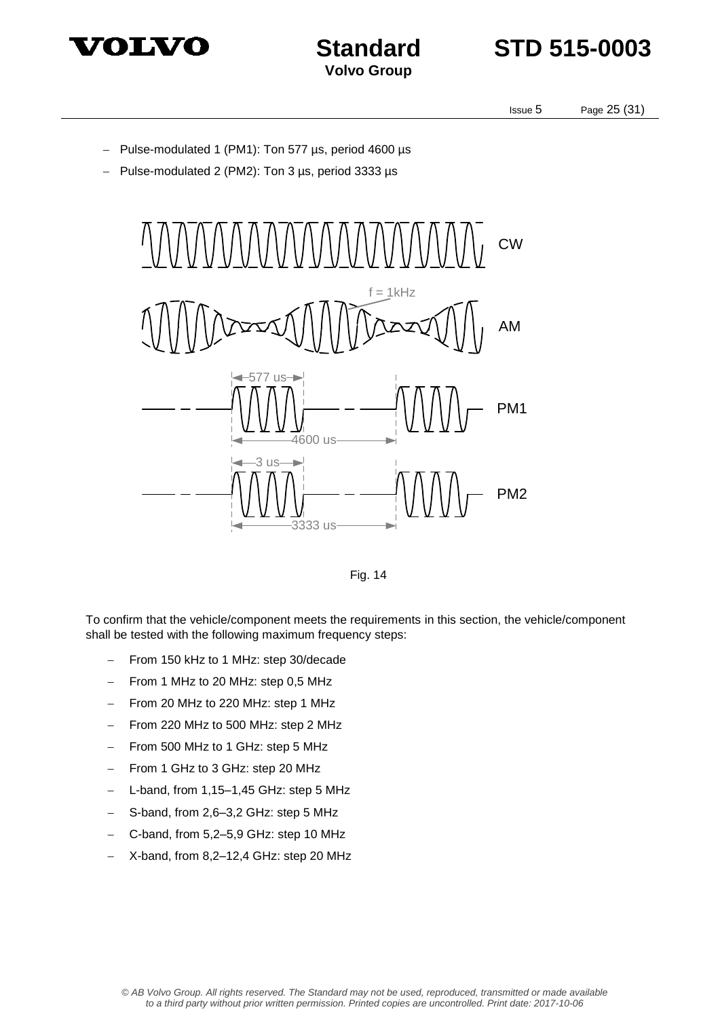



Issue 5 Page 25 (31)

- Pulse-modulated 1 (PM1): Ton 577 µs, period 4600 µs
- Pulse-modulated 2 (PM2): Ton 3 us, period 3333 us





To confirm that the vehicle/component meets the requirements in this section, the vehicle/component shall be tested with the following maximum frequency steps:

- From 150 kHz to 1 MHz: step 30/decade
- $-$  From 1 MHz to 20 MHz: step 0,5 MHz
- From 20 MHz to 220 MHz: step 1 MHz
- From 220 MHz to 500 MHz: step 2 MHz
- From 500 MHz to 1 GHz: step 5 MHz
- From 1 GHz to 3 GHz: step 20 MHz
- L-band, from 1,15–1,45 GHz: step 5 MHz
- S-band, from 2,6–3,2 GHz: step 5 MHz
- C-band, from 5,2–5,9 GHz: step 10 MHz
- X-band, from 8,2–12,4 GHz: step 20 MHz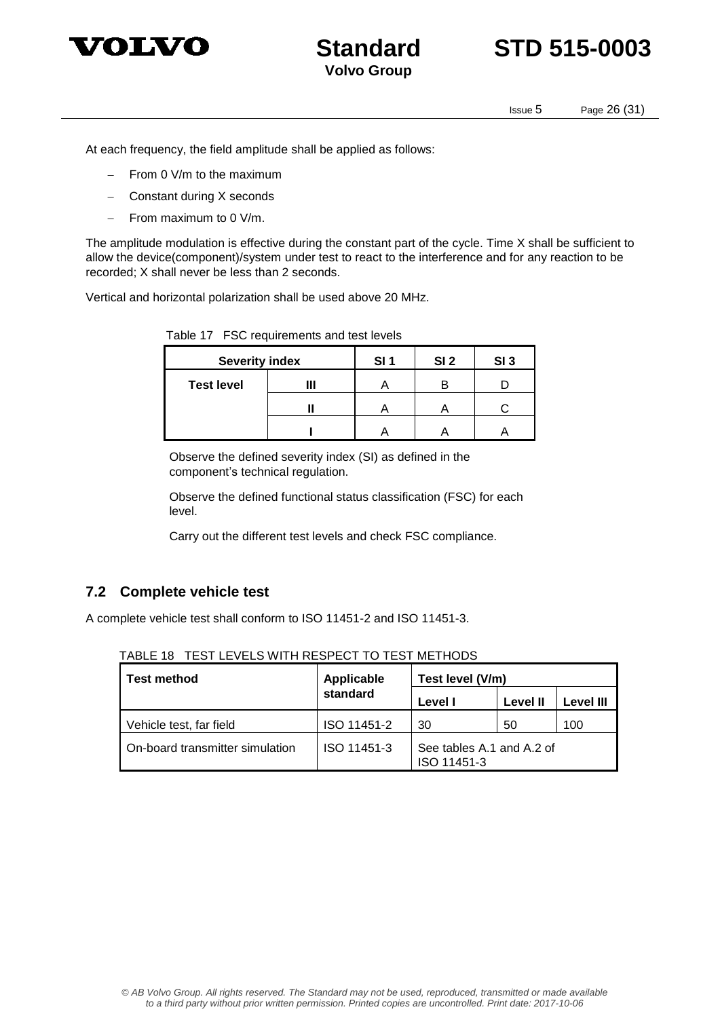

## **Standard STD 515-0003**

Issue 5 Page 26 (31)

At each frequency, the field amplitude shall be applied as follows:

- $-$  From 0 V/m to the maximum
- Constant during X seconds
- From maximum to 0 V/m.

The amplitude modulation is effective during the constant part of the cycle. Time X shall be sufficient to allow the device(component)/system under test to react to the interference and for any reaction to be recorded; X shall never be less than 2 seconds.

Vertical and horizontal polarization shall be used above 20 MHz.

| <b>Severity index</b> |   | SI <sub>1</sub> | SI <sub>2</sub> | SI <sub>3</sub> |
|-----------------------|---|-----------------|-----------------|-----------------|
| <b>Test level</b>     | Ш |                 | B               |                 |
|                       |   |                 |                 |                 |
|                       |   |                 |                 |                 |

Table 17 FSC requirements and test levels

Observe the defined severity index (SI) as defined in the component's technical regulation.

Observe the defined functional status classification (FSC) for each level.

Carry out the different test levels and check FSC compliance.

#### **7.2 Complete vehicle test**

A complete vehicle test shall conform to ISO 11451-2 and ISO 11451-3.

| Test method                     | Applicable  | Test level (V/m)                         |          |           |
|---------------------------------|-------------|------------------------------------------|----------|-----------|
|                                 | standard    | Level I                                  | Level II | Level III |
| Vehicle test, far field         | ISO 11451-2 | 30                                       | 50       | 100       |
| On-board transmitter simulation | ISO 11451-3 | See tables A.1 and A.2 of<br>ISO 11451-3 |          |           |

TABLE 18 TEST LEVELS WITH RESPECT TO TEST METHODS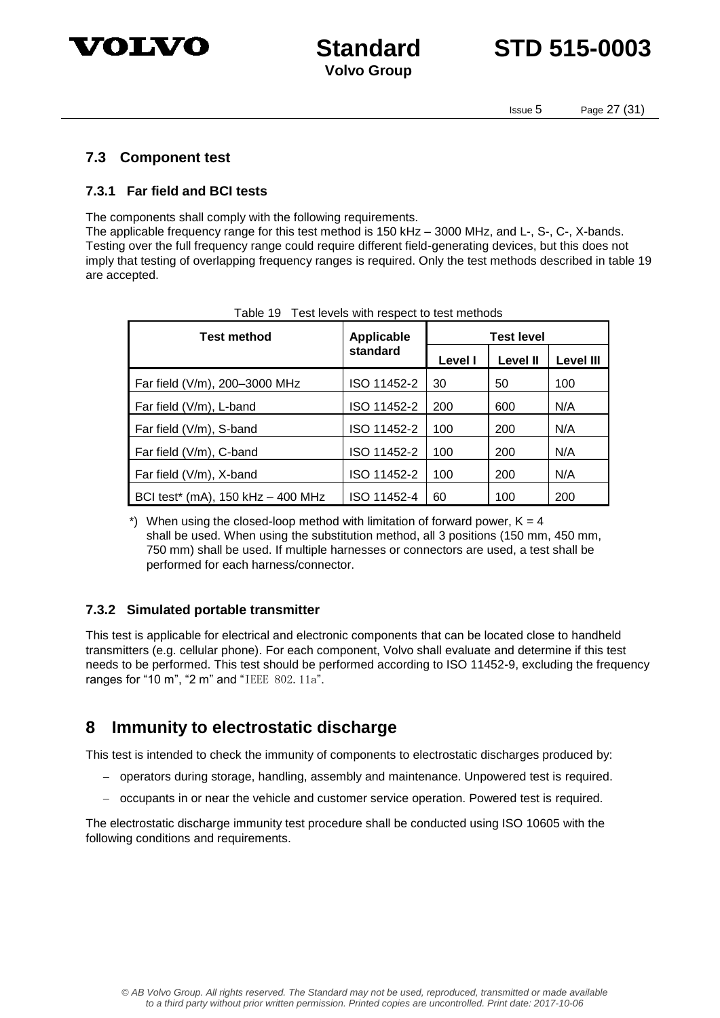

## **Standard STD 515-0003**

Issue 5 Page 27 (31)

#### **7.3 Component test**

#### **7.3.1 Far field and BCI tests**

The components shall comply with the following requirements.

The applicable frequency range for this test method is 150 kHz – 3000 MHz, and L-, S-, C-, X-bands. Testing over the full frequency range could require different field-generating devices, but this does not imply that testing of overlapping frequency ranges is required. Only the test methods described in table 19 are accepted.

| Test method                       | <b>Applicable</b> | <b>Test level</b> |                 |                  |
|-----------------------------------|-------------------|-------------------|-----------------|------------------|
|                                   | standard          | Level I           | <b>Level II</b> | <b>Level III</b> |
| Far field (V/m), 200-3000 MHz     | ISO 11452-2       | 30                | 50              | 100              |
| Far field (V/m), L-band           | ISO 11452-2       | 200               | 600             | N/A              |
| Far field (V/m), S-band           | ISO 11452-2       | 100               | 200             | N/A              |
| Far field (V/m), C-band           | ISO 11452-2       | 100               | 200             | N/A              |
| Far field (V/m), X-band           | ISO 11452-2       | 100               | 200             | N/A              |
| BCI test* (mA), 150 kHz - 400 MHz | ISO 11452-4       | 60                | 100             | 200              |

| Table 19 Test levels with respect to test methods |
|---------------------------------------------------|
|                                                   |

\*) When using the closed-loop method with limitation of forward power,  $K = 4$ shall be used. When using the substitution method, all 3 positions (150 mm, 450 mm, 750 mm) shall be used. If multiple harnesses or connectors are used, a test shall be performed for each harness/connector.

#### **7.3.2 Simulated portable transmitter**

This test is applicable for electrical and electronic components that can be located close to handheld transmitters (e.g. cellular phone). For each component, Volvo shall evaluate and determine if this test needs to be performed. This test should be performed according to ISO 11452-9, excluding the frequency ranges for "10 m", "2 m" and "IEEE 802.11a".

### **8 Immunity to electrostatic discharge**

This test is intended to check the immunity of components to electrostatic discharges produced by:

- operators during storage, handling, assembly and maintenance. Unpowered test is required.
- occupants in or near the vehicle and customer service operation. Powered test is required.

The electrostatic discharge immunity test procedure shall be conducted using ISO 10605 with the following conditions and requirements.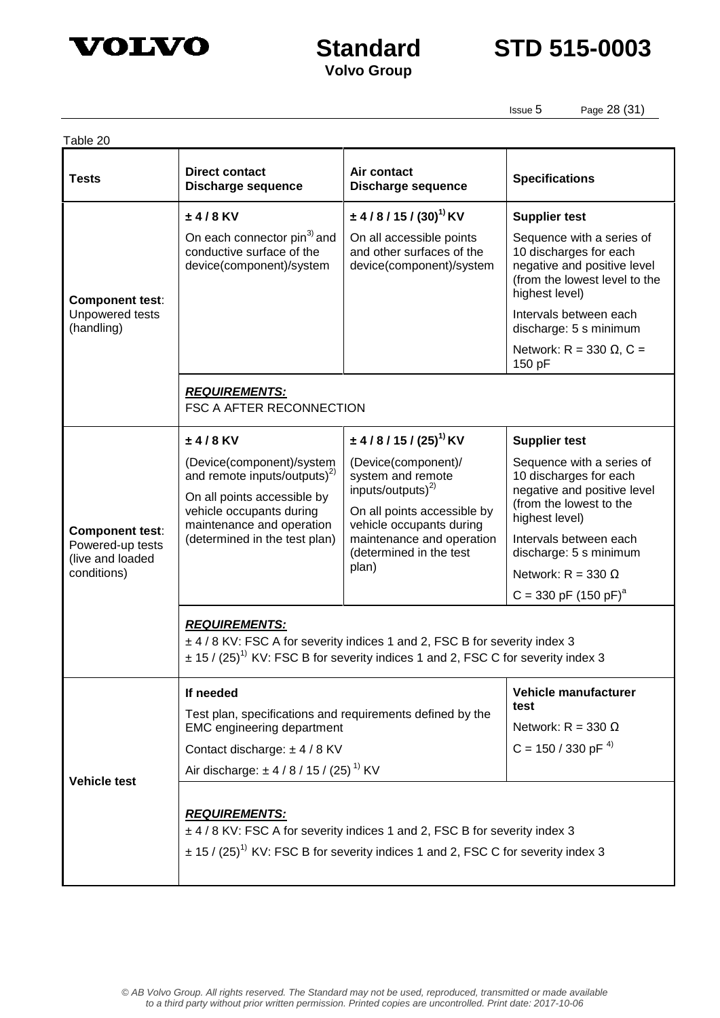

**Standard STD 515-0003**

Issue 5 Page 28 (31)

| Table 20                                                                      |                                                                                                                                                                                                             |                                                                                                                                                                                                 |                                                                                                                                                                                                                                                        |  |  |
|-------------------------------------------------------------------------------|-------------------------------------------------------------------------------------------------------------------------------------------------------------------------------------------------------------|-------------------------------------------------------------------------------------------------------------------------------------------------------------------------------------------------|--------------------------------------------------------------------------------------------------------------------------------------------------------------------------------------------------------------------------------------------------------|--|--|
| <b>Tests</b>                                                                  | <b>Direct contact</b><br><b>Discharge sequence</b>                                                                                                                                                          | Air contact<br><b>Discharge sequence</b>                                                                                                                                                        | <b>Specifications</b>                                                                                                                                                                                                                                  |  |  |
|                                                                               | $±4/8$ KV                                                                                                                                                                                                   | $\pm$ 4/8/15/(30) <sup>1)</sup> KV                                                                                                                                                              | <b>Supplier test</b>                                                                                                                                                                                                                                   |  |  |
| <b>Component test:</b><br>Unpowered tests<br>(handling)                       | On each connector pin <sup>3)</sup> and<br>conductive surface of the<br>device(component)/system                                                                                                            | On all accessible points<br>and other surfaces of the<br>device(component)/system                                                                                                               | Sequence with a series of<br>10 discharges for each<br>negative and positive level<br>(from the lowest level to the<br>highest level)                                                                                                                  |  |  |
|                                                                               |                                                                                                                                                                                                             |                                                                                                                                                                                                 | Intervals between each<br>discharge: 5 s minimum                                                                                                                                                                                                       |  |  |
|                                                                               |                                                                                                                                                                                                             |                                                                                                                                                                                                 | Network: R = 330 $\Omega$ , C =<br>150 pF                                                                                                                                                                                                              |  |  |
|                                                                               | <b>REQUIREMENTS:</b><br><b>FSC A AFTER RECONNECTION</b>                                                                                                                                                     |                                                                                                                                                                                                 |                                                                                                                                                                                                                                                        |  |  |
|                                                                               | $±4/8$ KV                                                                                                                                                                                                   | $\pm$ 4/8/15/(25) <sup>1)</sup> KV                                                                                                                                                              | <b>Supplier test</b>                                                                                                                                                                                                                                   |  |  |
| <b>Component test:</b><br>Powered-up tests<br>(live and loaded<br>conditions) | (Device(component)/system<br>and remote inputs/outputs) <sup>2)</sup><br>On all points accessible by<br>vehicle occupants during<br>maintenance and operation<br>(determined in the test plan)              | (Device(component)/<br>system and remote<br>inputs/outputs) $^{2)}$<br>On all points accessible by<br>vehicle occupants during<br>maintenance and operation<br>(determined in the test<br>plan) | Sequence with a series of<br>10 discharges for each<br>negative and positive level<br>(from the lowest to the<br>highest level)<br>Intervals between each<br>discharge: 5 s minimum<br>Network: $R = 330 \Omega$<br>$C = 330$ pF (150 pF) <sup>a</sup> |  |  |
|                                                                               | <b>REQUIREMENTS:</b><br>± 4 / 8 KV: FSC A for severity indices 1 and 2, FSC B for severity index 3<br>$\pm$ 15 / (25) <sup>1)</sup> KV: FSC B for severity indices 1 and 2, FSC C for severity index 3      |                                                                                                                                                                                                 |                                                                                                                                                                                                                                                        |  |  |
| <b>Vehicle test</b>                                                           | If needed<br>Test plan, specifications and requirements defined by the<br><b>EMC</b> engineering department<br>Contact discharge: $\pm$ 4 / 8 KV<br>Air discharge: $\pm$ 4 / 8 / 15 / (25) <sup>1)</sup> KV |                                                                                                                                                                                                 | Vehicle manufacturer<br>test<br>Network: $R = 330 \Omega$<br>$C = 150 / 330$ pF $^{4}$                                                                                                                                                                 |  |  |
|                                                                               | <b>REQUIREMENTS:</b><br>± 4 / 8 KV: FSC A for severity indices 1 and 2, FSC B for severity index 3<br>$\pm$ 15 / (25) <sup>1)</sup> KV: FSC B for severity indices 1 and 2, FSC C for severity index 3      |                                                                                                                                                                                                 |                                                                                                                                                                                                                                                        |  |  |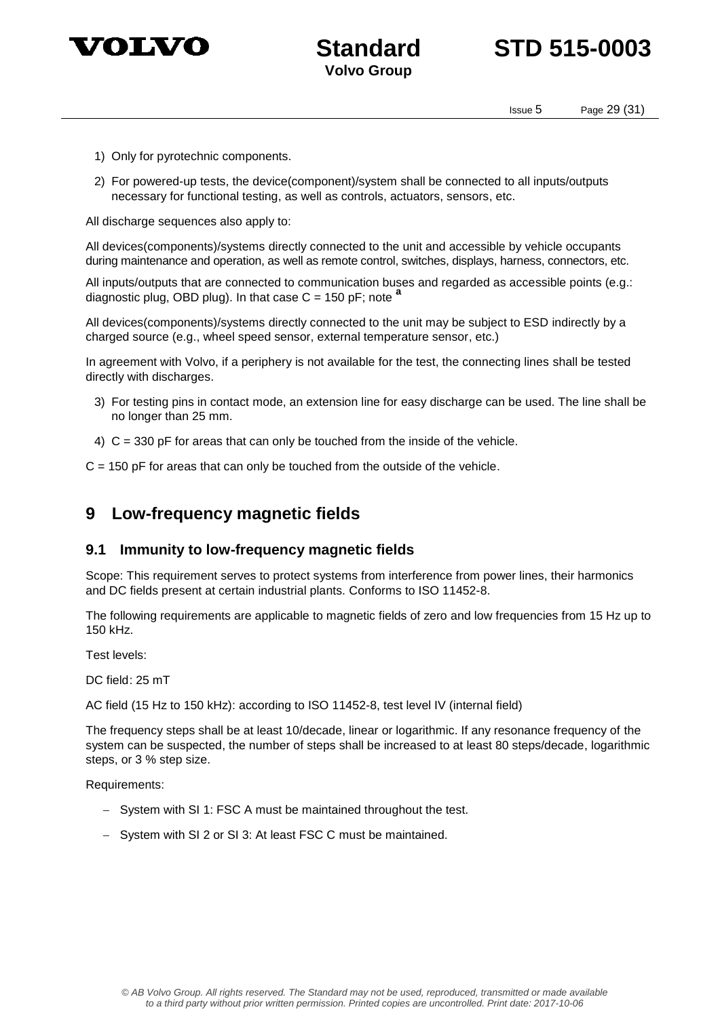

## **Standard STD 515-0003**

Issue 5 Page 29 (31)

- 1) Only for pyrotechnic components.
- 2) For powered-up tests, the device(component)/system shall be connected to all inputs/outputs necessary for functional testing, as well as controls, actuators, sensors, etc.

All discharge sequences also apply to:

All devices(components)/systems directly connected to the unit and accessible by vehicle occupants during maintenance and operation, as well as remote control, switches, displays, harness, connectors, etc.

All inputs/outputs that are connected to communication buses and regarded as accessible points (e.g.: diagnostic plug, OBD plug). In that case C = 150 pF; note **<sup>a</sup>**

All devices(components)/systems directly connected to the unit may be subject to ESD indirectly by a charged source (e.g., wheel speed sensor, external temperature sensor, etc.)

In agreement with Volvo, if a periphery is not available for the test, the connecting lines shall be tested directly with discharges.

- 3) For testing pins in contact mode, an extension line for easy discharge can be used. The line shall be no longer than 25 mm.
- 4) C = 330 pF for areas that can only be touched from the inside of the vehicle.

 $C = 150$  pF for areas that can only be touched from the outside of the vehicle.

## **9 Low-frequency magnetic fields**

#### **9.1 Immunity to low-frequency magnetic fields**

Scope: This requirement serves to protect systems from interference from power lines, their harmonics and DC fields present at certain industrial plants. Conforms to ISO 11452-8.

The following requirements are applicable to magnetic fields of zero and low frequencies from 15 Hz up to 150 kHz.

Test levels:

DC field: 25 mT

AC field (15 Hz to 150 kHz): according to ISO 11452-8, test level IV (internal field)

The frequency steps shall be at least 10/decade, linear or logarithmic. If any resonance frequency of the system can be suspected, the number of steps shall be increased to at least 80 steps/decade, logarithmic steps, or 3 % step size.

Requirements:

- System with SI 1: FSC A must be maintained throughout the test.
- System with SI 2 or SI 3: At least FSC C must be maintained.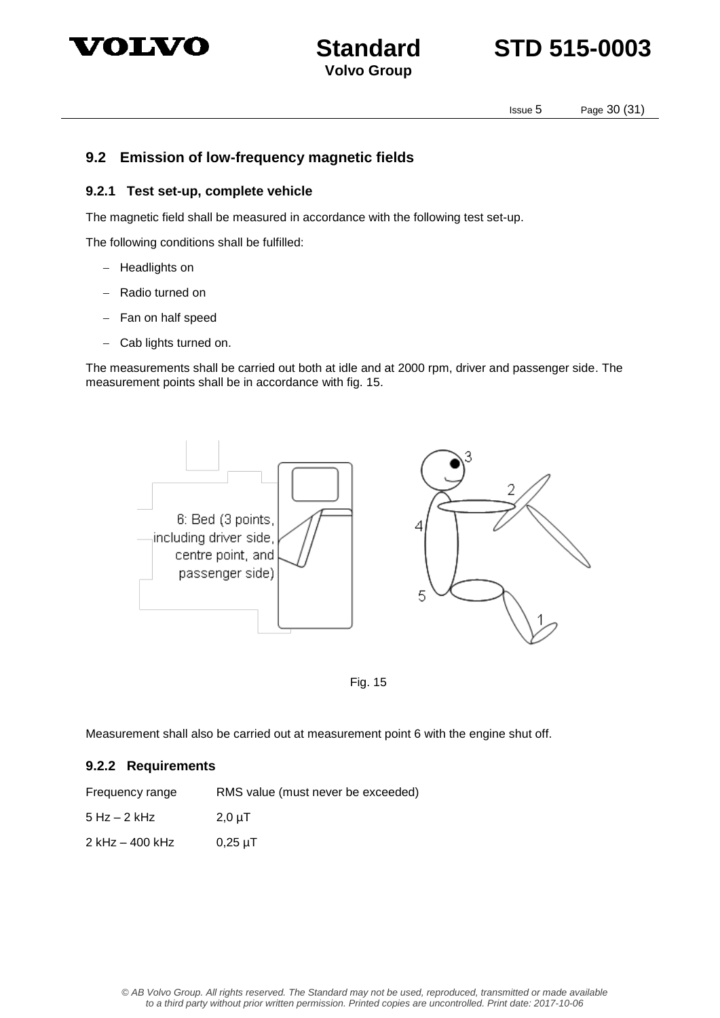



Issue 5 Page 30 (31)

#### **9.2 Emission of low-frequency magnetic fields**

#### **9.2.1 Test set-up, complete vehicle**

The magnetic field shall be measured in accordance with the following test set-up.

The following conditions shall be fulfilled:

- Headlights on
- Radio turned on
- $-$  Fan on half speed
- Cab lights turned on.

The measurements shall be carried out both at idle and at 2000 rpm, driver and passenger side. The measurement points shall be in accordance with fig. 15.



Fig. 15

Measurement shall also be carried out at measurement point 6 with the engine shut off.

#### **9.2.2 Requirements**

| Frequency range | RMS value (must never be exceeded) |
|-----------------|------------------------------------|
|-----------------|------------------------------------|

 $5 Hz - 2 kHz$  2,0 µT

 $2$  kHz – 400 kHz 0,25  $\mu$ T

© AB Volvo Group. All rights reserved. The Standard may not be used, reproduced, transmitted or made available to a third party without prior written permission. Printed copies are uncontrolled. Print date: 2017-10-06